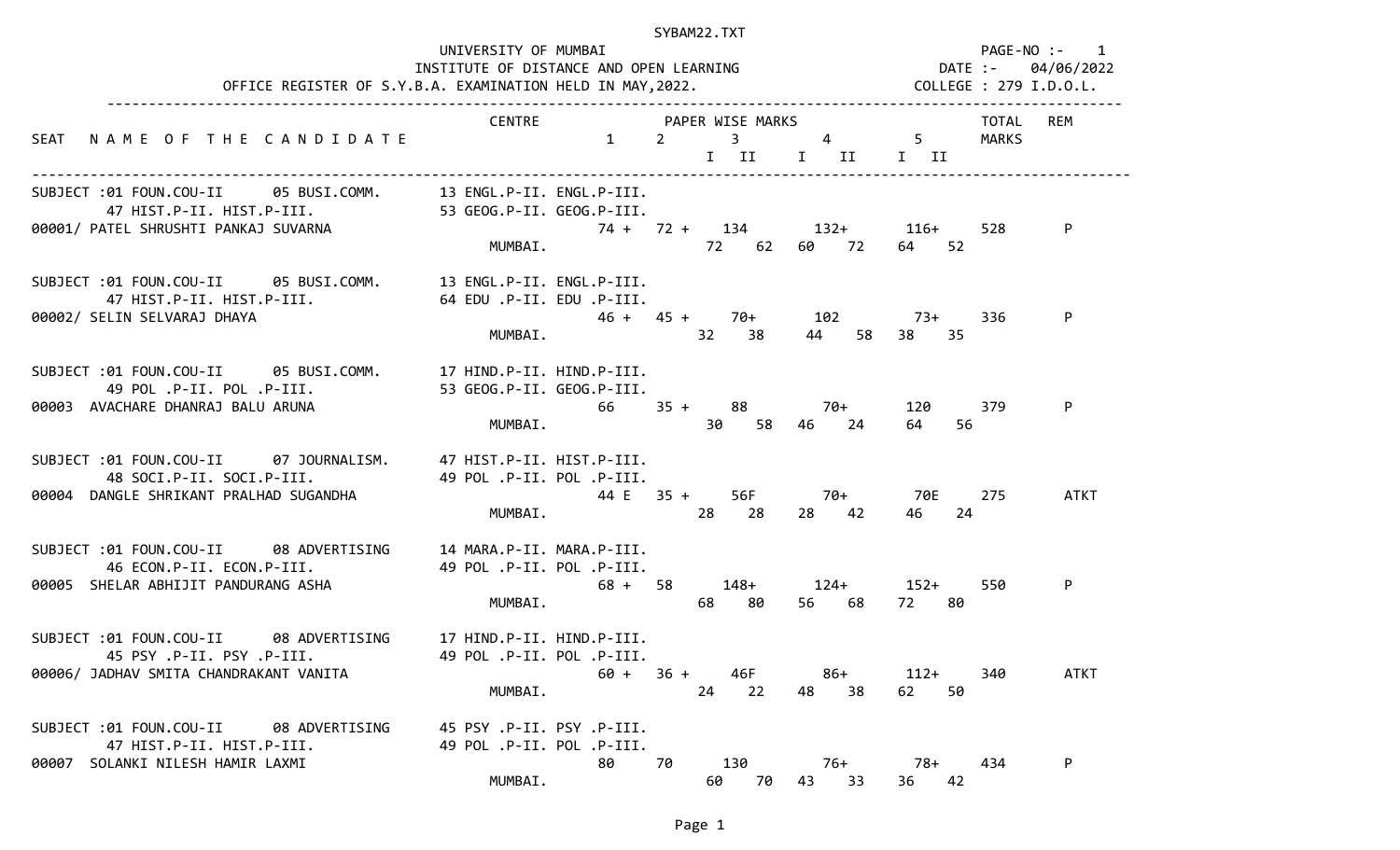| OFFICE REGISTER OF S.Y.B.A. EXAMINATION HELD IN MAY, 2022. COLLEGE : 279 I.D.O.L.                                                                               |                                                                   |             | SYBAM22.TXT                                           |                      |                       | UNIVERSITY OF MUMBAI PAGE-NO :- 1<br>INSTITUTE OF DISTANCE AND OPEN LEARNING METALLY RESERVED BATE :- 04/06/2022 |
|-----------------------------------------------------------------------------------------------------------------------------------------------------------------|-------------------------------------------------------------------|-------------|-------------------------------------------------------|----------------------|-----------------------|------------------------------------------------------------------------------------------------------------------|
| SEAT NAME OF THE CANDIDATE CONTRE 1 2 3 4 5 MARKS                                                                                                               |                                                                   |             |                                                       | I II I II II         |                       | TOTAL REM                                                                                                        |
| SUBJECT :01 FOUN.COU-II 05 BUSI.COMM. 13 ENGL.P-II. ENGL.P-III.<br>47 HIST.P-II. HIST.P-III. 53 GEOG.P-II. GEOG.P-III.                                          |                                                                   |             | MUMBAI. 72 62 60 72 64 52                             |                      |                       | 528<br>P                                                                                                         |
| SUBJECT :01 FOUN.COU-II 05 BUSI.COMM. 13 ENGL.P-II. ENGL.P-III.<br>00002/ SELIN SELVARAJ DHAYA                                                                  |                                                                   |             | $46 + 45 + 70 + 102$ 73+<br>MUMBAI. 32 38 44 58 38 35 |                      |                       | 336<br>P                                                                                                         |
| SUBJECT :01 FOUN.COU-II 05 BUSI.COMM. 17 HIND.P-II. HIND.P-III.<br>49 POL .P-II. POL .P-III.<br>00003 AVACHARE DHANRAJ BALU ARUNA                               | 53 GEOG.P-II. GEOG.P-III.                                         | MUMBAI.     | $66$ $35 +$ $88$ $70+$                                | 30 58 46 24          | 120 379<br>64 —<br>56 | P                                                                                                                |
| SUBJECT :01 FOUN.COU-II 07 JOURNALISM. 47 HIST.P-II. HIST.P-III.<br>48 SOCI.P-II. SOCI.P-III. 49 POL.P-II. POL.P-III.<br>00004 DANGLE SHRIKANT PRALHAD SUGANDHA |                                                                   | $44 E$ 35 + | MUMBAI. 28 28                                         | 56F 70+ 70E<br>28 42 | 46<br>-24             | 275<br><b>ATKT</b>                                                                                               |
| SUBJECT :01 FOUN.COU-II 08 ADVERTISING 14 MARA.P-II. MARA.P-III.<br>46 ECON.P-II. ECON.P-III.<br>00005 SHELAR ABHIJIT PANDURANG ASHA                            | 49 POL .P-II. POL .P-III.                                         | MUMBAI.     | $68 + 58$ $148 + 124 + 152 +$<br>68 80                | 56 68 72 80          |                       | 550<br>P                                                                                                         |
| SUBJECT:01 FOUN.COU-II 08 ADVERTISING<br>45 PSY .P-II. PSY .P-III.<br>00006/ JADHAV SMITA CHANDRAKANT VANITA                                                    | 17 HIND.P-II. HIND.P-III.<br>49 POL .P-II. POL .P-III.<br>MUMBAI. |             | $60 + 36 + 46F$<br>24 22                              | 86+<br>48<br>38      | 112+<br>62<br>50      | <b>ATKT</b><br>340                                                                                               |
| SUBJECT :01 FOUN.COU-II 08 ADVERTISING<br>47 HIST.P-II. HIST.P-III.<br>00007 SOLANKI NILESH HAMIR LAXMI                                                         | 45 PSY .P-II. PSY .P-III.<br>49 POL .P-II. POL .P-III.<br>MUMBAI. | 80          | 70<br>130<br>60<br>70                                 | 76+<br>43 33         | 78+<br>42<br>36       | P<br>434                                                                                                         |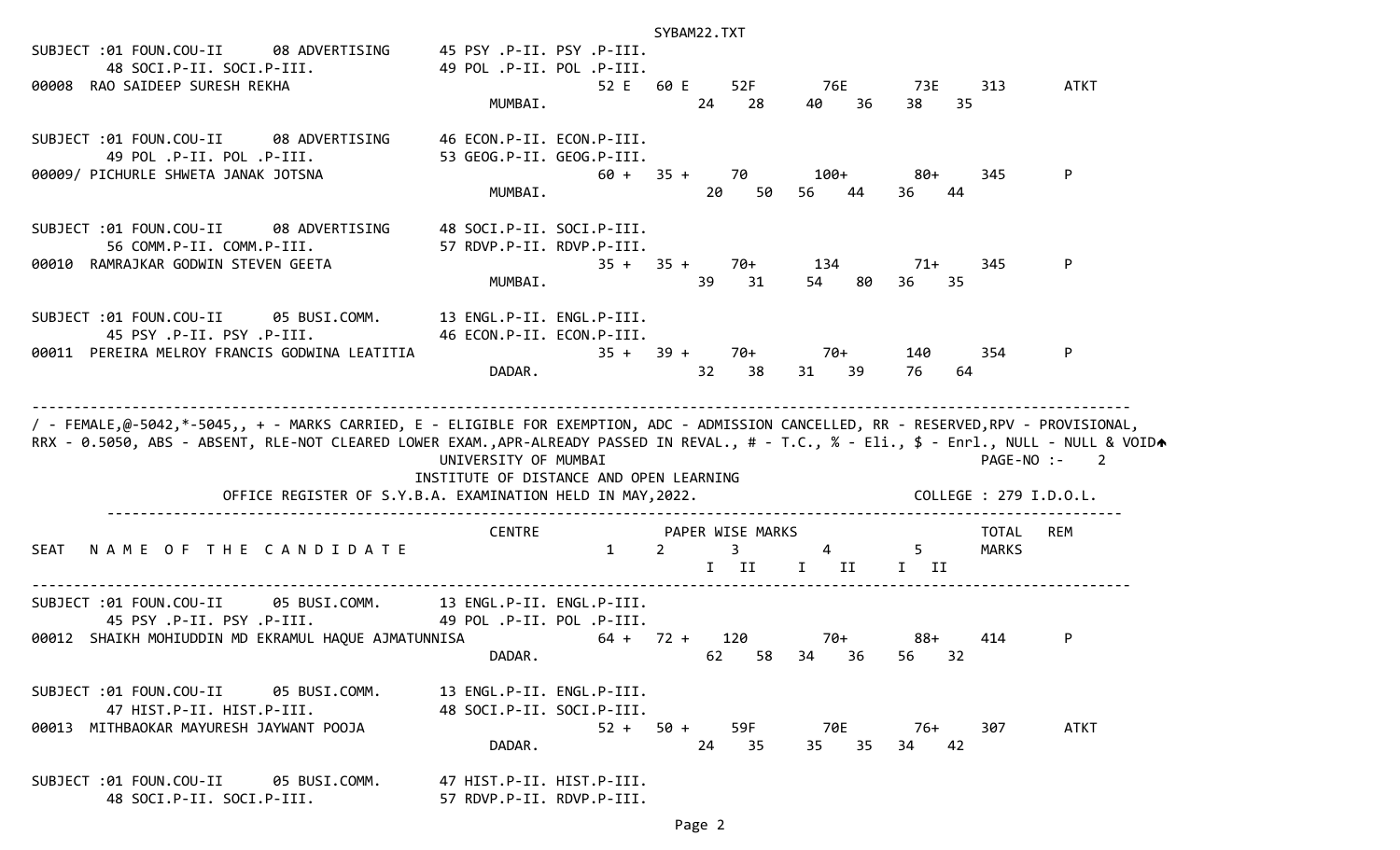| SUBJECT :01 FOUN.COU-II<br>08 ADVERTISING<br>48 SOCI.P-II. SOCI.P-III.<br>00008 RAO SAIDEEP SURESH REKHA                                                                                                                                                                           | 45 PSY .P-II. PSY .P-III.<br>49 POL .P-II. POL .P-III.<br>52 E<br>MUMBAI.                                                     | SYBAM22.TXT<br>60 E<br>52F<br>24<br>28                       | 76E<br>36<br>40                                                                                                                                                                                                                                                                                                                                 | 313<br>73E<br>38<br>35        | ATKT                                     |
|------------------------------------------------------------------------------------------------------------------------------------------------------------------------------------------------------------------------------------------------------------------------------------|-------------------------------------------------------------------------------------------------------------------------------|--------------------------------------------------------------|-------------------------------------------------------------------------------------------------------------------------------------------------------------------------------------------------------------------------------------------------------------------------------------------------------------------------------------------------|-------------------------------|------------------------------------------|
| SUBJECT :01 FOUN.COU-II 08 ADVERTISING<br>49 POL .P-II. POL .P-III.<br>00009/ PICHURLE SHWETA JANAK JOTSNA                                                                                                                                                                         | 46 ECON.P-II. ECON.P-III.<br>53 GEOG.P-II. GEOG.P-III.<br>MUMBAI.                                                             | $60 + 35 + 70$<br>20<br>50                                   | $100+$<br>56<br>44                                                                                                                                                                                                                                                                                                                              | 80+<br>345<br>36<br>44        | P                                        |
| SUBJECT :01 FOUN.COU-II 08 ADVERTISING<br>56 COMM.P-II. COMM.P-III.<br>00010 RAMRAJKAR GODWIN STEVEN GEETA                                                                                                                                                                         | 48 SOCI.P-II. SOCI.P-III.<br>57 RDVP.P-II. RDVP.P-III.<br>MUMBAI.                                                             | $35 + 35 +$<br>70+<br>39<br>31                               | 134<br>54<br>80                                                                                                                                                                                                                                                                                                                                 | 345<br>71+<br>36<br>35        | P                                        |
| SUBJECT :01 FOUN.COU-II 05 BUSI.COMM. 13 ENGL.P-II. ENGL.P-III.<br>45 PSY .P-II. PSY .P-III.<br>00011 PEREIRA MELROY FRANCIS GODWINA LEATITIA                                                                                                                                      | 46 ECON.P-II. ECON.P-III.<br>DADAR.                                                                                           | $35 + 39 +$<br>70+<br>32 <sub>2</sub><br>38                  | 70+<br>31 39                                                                                                                                                                                                                                                                                                                                    | 140<br>354<br>76<br>64        | P                                        |
| / - FEMALE,@-5042,*-5045,, + - MARKS CARRIED, E - ELIGIBLE FOR EXEMPTION, ADC - ADMISSION CANCELLED, RR - RESERVED,RPV - PROVISIONAL,<br>RRX - 0.5050, ABS - ABSENT, RLE-NOT CLEARED LOWER EXAM.,APR-ALREADY PASSED IN REVAL., # - T.C., % - Eli., \$ - Enrl., NULL - NULL & VOIDA | UNIVERSITY OF MUMBAI<br>INSTITUTE OF DISTANCE AND OPEN LEARNING<br>OFFICE REGISTER OF S.Y.B.A. EXAMINATION HELD IN MAY, 2022. |                                                              |                                                                                                                                                                                                                                                                                                                                                 | COLLEGE : 279 I.D.O.L.        | PAGE-NO :-<br>$\overline{\phantom{a}}$ 2 |
| NAME OF THE CANDIDATE<br>SEAT                                                                                                                                                                                                                                                      | <b>CENTRE</b><br>$\mathbf{1}$                                                                                                 | PAPER WISE MARKS<br>$\overline{3}$<br>$\overline{2}$<br>I II | $\overline{4}$ and $\overline{4}$ and $\overline{4}$ and $\overline{4}$ and $\overline{4}$ and $\overline{4}$ and $\overline{4}$ and $\overline{4}$ and $\overline{4}$ and $\overline{4}$ and $\overline{4}$ and $\overline{4}$ and $\overline{4}$ and $\overline{4}$ and $\overline{4}$ and $\overline{4}$ and $\overline{4}$ and<br>I II I II | TOTAL<br>$5^{\circ}$<br>MARKS | REM                                      |
| SUBJECT :01 FOUN.COU-II<br>45 PSY .P-II. PSY .P-III.<br>00012 SHAIKH MOHIUDDIN MD EKRAMUL HAQUE AJMATUNNISA                                                                                                                                                                        | 05 BUSI.COMM. 13 ENGL.P-II. ENGL.P-III.<br>49 POL .P-II. POL .P-III.<br>DADAR.                                                | $64 + 72 +$<br>120<br>62<br>58 34                            | 70+<br>36                                                                                                                                                                                                                                                                                                                                       | 88+<br>414<br>56<br>32        | P                                        |
| SUBJECT:01 FOUN.COU-II 05 BUSI.COMM.<br>47 HIST.P-II. HIST.P-III.<br>00013 MITHBAOKAR MAYURESH JAYWANT POOJA                                                                                                                                                                       | 13 ENGL.P-II. ENGL.P-III.<br>48 SOCI.P-II. SOCI.P-III.<br>DADAR.                                                              | $52 + 50 +$<br>59F<br>24<br>35                               | 70E<br>35<br>35                                                                                                                                                                                                                                                                                                                                 | 307<br>76+<br>42<br>34        | ATKT                                     |
| SUBJECT :01 FOUN.COU-II 05 BUSI.COMM.<br>48 SOCI.P-II. SOCI.P-III.                                                                                                                                                                                                                 | 47 HIST.P-II. HIST.P-III.<br>57 RDVP.P-II. RDVP.P-III.                                                                        |                                                              |                                                                                                                                                                                                                                                                                                                                                 |                               |                                          |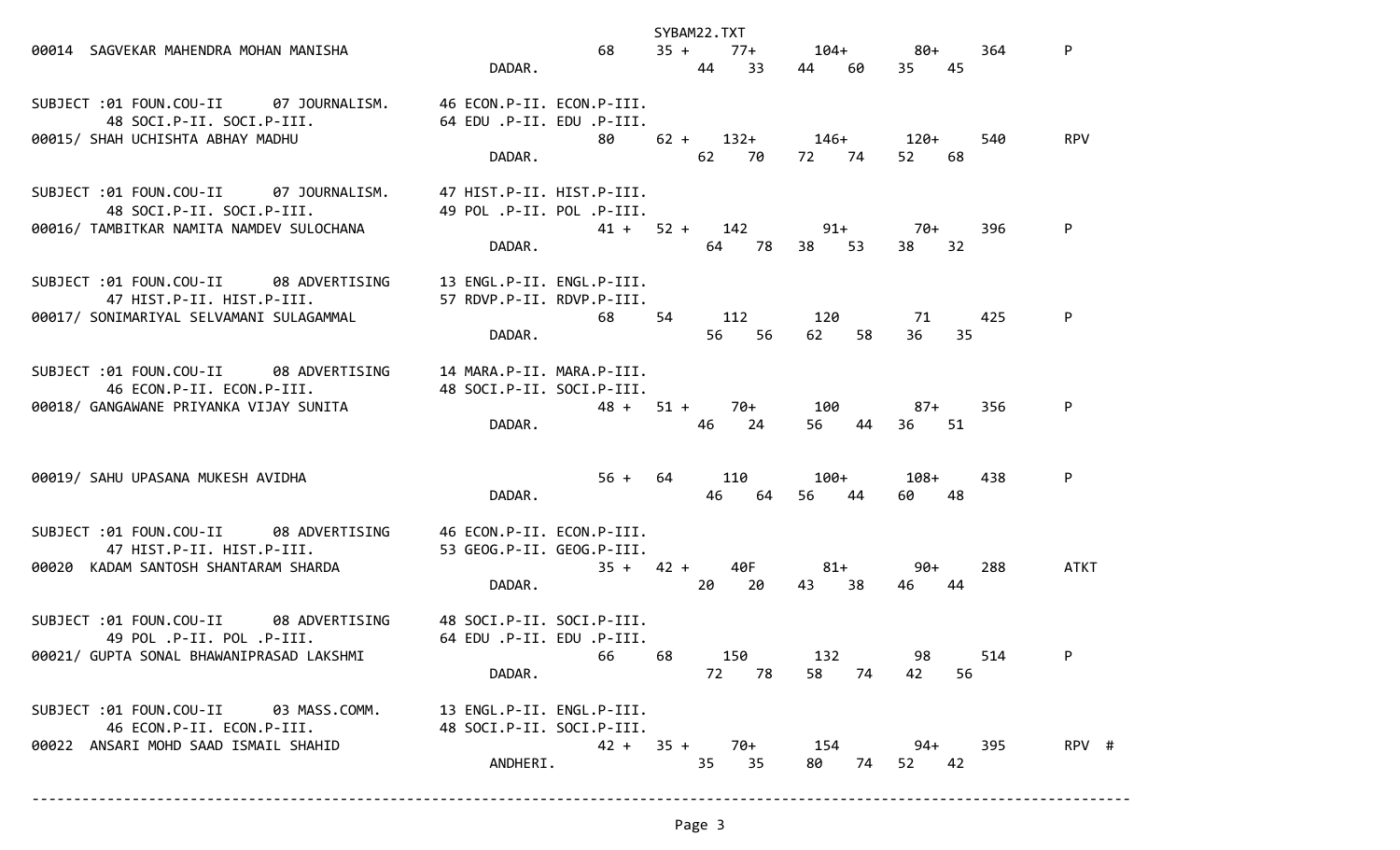|                                                                                                                 |                                                                             | SYBAM22.TXT                       |                    |                      |                   |  |
|-----------------------------------------------------------------------------------------------------------------|-----------------------------------------------------------------------------|-----------------------------------|--------------------|----------------------|-------------------|--|
| 00014 SAGVEKAR MAHENDRA MOHAN MANISHA                                                                           | 68 — 1<br>DADAR.                                                            | $35 + 77 +$<br>44<br>33           | $104+$<br>44<br>60 | $80+$<br>35 45       | P<br>364          |  |
| SUBJECT :01 FOUN.COU-II 07 JOURNALISM.<br>48 SOCI.P-II. SOCI.P-III.<br>00015/ SHAH UCHISHTA ABHAY MADHU         | 46 ECON.P-II. ECON.P-III.<br>64 EDU .P-II. EDU .P-III.<br>80 — 10<br>DADAR. | $62 + 132 + 146 + 120 +$<br>62 70 | 72 74              | 52<br>68             | 540<br><b>RPV</b> |  |
| SUBJECT :01 FOUN.COU-II 07 JOURNALISM.<br>48 SOCI.P-II. SOCI.P-III.<br>00016/ TAMBITKAR NAMITA NAMDEV SULOCHANA | 47 HIST.P-II. HIST.P-III.<br>49 POL .P-II. POL .P-III.<br>DADAR.            | $41 + 52 + 142$ 91+ 70+<br>64 78  | 38<br>53           | 32<br>38             | 396<br>P          |  |
| SUBJECT :01 FOUN.COU-II 08 ADVERTISING<br>47 HIST.P-II. HIST.P-III.<br>00017/ SONIMARIYAL SELVAMANI SULAGAMMAL  | 13 ENGL.P-II. ENGL.P-III.<br>57 RDVP.P-II. RDVP.P-III.<br>68<br>DADAR.      | 54 112<br>56 56                   | 120<br>58<br>62    | 71<br>35<br>36.      | P<br>425          |  |
| SUBJECT :01 FOUN.COU-II 08 ADVERTISING<br>46 ECON.P-II. ECON.P-III.<br>00018/ GANGAWANE PRIYANKA VIJAY SUNITA   | 14 MARA.P-II. MARA.P-III.<br>48 SOCI.P-II. SOCI.P-III.<br>DADAR.            | $48 + 51 +$<br>70+<br>46<br>24    | 100<br>44<br>56    | 87+<br>36<br>-51     | P<br>356          |  |
| 00019/ SAHU UPASANA MUKESH AVIDHA                                                                               | DADAR.                                                                      | 56 + 64 110 100+<br>64<br>46      | 56<br>44           | $108+$<br>48<br>60 — | 438<br>P          |  |
| SUBJECT :01 FOUN.COU-II 08 ADVERTISING<br>47 HIST.P-II. HIST.P-III.<br>00020 KADAM SANTOSH SHANTARAM SHARDA     | 46 ECON.P-II. ECON.P-III.<br>53 GEOG.P-II. GEOG.P-III.<br>DADAR.            | $35 + 42 +$<br>40F<br>20<br>20    | $81+$<br>43<br>38  | 90+<br>46<br>44      | 288<br>ATKT       |  |
| SUBJECT :01 FOUN.COU-II 08 ADVERTISING<br>49 POL .P-II. POL .P-III.<br>00021/ GUPTA SONAL BHAWANIPRASAD LAKSHMI | 48 SOCI.P-II. SOCI.P-III.<br>64 EDU .P-II. EDU .P-III.<br>66<br>DADAR.      | 150<br>68<br>72 78                | 132<br>58 74       | 98<br>56<br>42       | 514<br>P          |  |
| SUBJECT :01 FOUN.COU-II 03 MASS.COMM.<br>46 ECON.P-II. ECON.P-III.<br>00022 ANSARI MOHD SAAD ISMAIL SHAHID      | 13 ENGL.P-II. ENGL.P-III.<br>48 SOCI.P-II. SOCI.P-III.<br>ANDHERI.          | $42 + 35 +$<br>70+<br>35<br>35    | 154<br>80 —<br>74  | 94+<br>52 42         | 395<br>RPV #      |  |

------------------------------------------------------------------------------------------------------------------------------------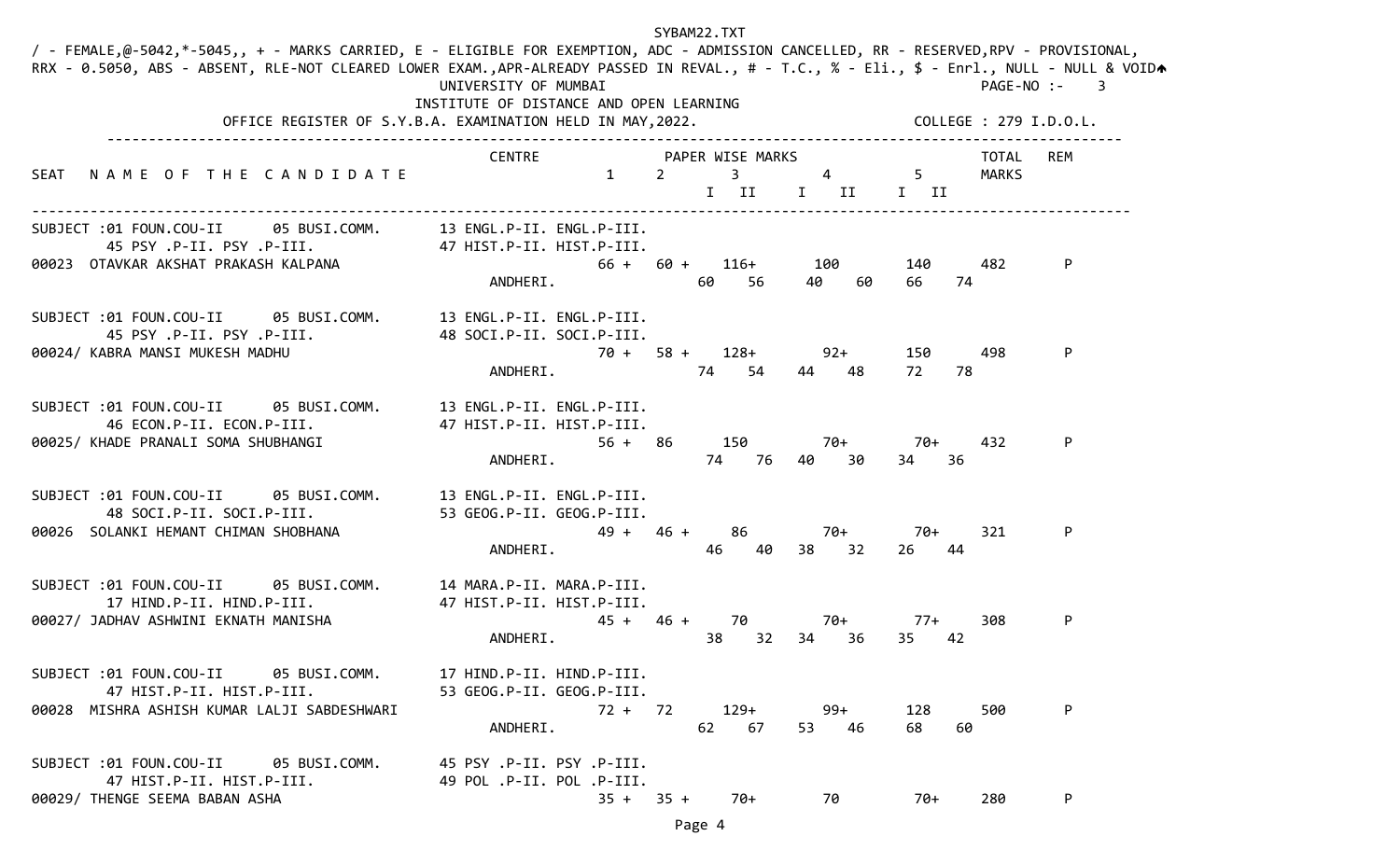| / - FEMALE,@-5042,*-5045,, + - MARKS CARRIED, E - ELIGIBLE FOR EXEMPTION, ADC - ADMISSION CANCELLED, RR - RESERVED,RPV - PROVISIONAL,<br>RRX - 0.5050, ABS - ABSENT, RLE-NOT CLEARED LOWER EXAM.,APR-ALREADY PASSED IN REVAL., # - T.C., % - Eli., \$ - Enrl., NULL - NULL & VOIDA | UNIVERSITY OF MUMBAI<br>INSTITUTE OF DISTANCE AND OPEN LEARNING | SYBAM22.TXT                                                            |                       | PAGE-NO :-<br>$\overline{\phantom{a}}$ 3 |
|------------------------------------------------------------------------------------------------------------------------------------------------------------------------------------------------------------------------------------------------------------------------------------|-----------------------------------------------------------------|------------------------------------------------------------------------|-----------------------|------------------------------------------|
|                                                                                                                                                                                                                                                                                    | OFFICE REGISTER OF S.Y.B.A. EXAMINATION HELD IN MAY, 2022.      |                                                                        |                       | COLLEGE : 279 I.D.O.L.                   |
| NAME OF THE CANDIDATE<br>SEAT                                                                                                                                                                                                                                                      | CENTRE<br>$\mathbf{1}$                                          | PAPER WISE MARKS<br>3 <sup>7</sup><br>$\overline{2}$<br>$\overline{4}$ | $5 -$                 | TOTAL<br>REM<br>MARKS                    |
|                                                                                                                                                                                                                                                                                    |                                                                 | $I$ $II$                                                               | I II I II             |                                          |
| SUBJECT :01 FOUN.COU-II 05 BUSI.COMM. 13 ENGL.P-II. ENGL.P-III.<br>45 PSY .P-II. PSY .P-III. 115T.P-II. HIST.P-III.                                                                                                                                                                |                                                                 |                                                                        |                       |                                          |
| 00023 OTAVKAR AKSHAT PRAKASH KALPANA                                                                                                                                                                                                                                               | ANDHERI.                                                        | $66 + 60 +$<br>116+ 100<br>40<br>60<br>-56                             | 140<br>60<br>66<br>74 | P<br>482                                 |
| SUBJECT :01 FOUN.COU-II 05 BUSI.COMM. 13 ENGL.P-II. ENGL.P-III.<br>45 PSY .P-II. PSY .P-III.<br>00024/ KABRA MANSI MUKESH MADHU                                                                                                                                                    | 48 SOCI.P-II. SOCI.P-III.                                       | $70 + 58 +$<br>$128+$                                                  | $92+$<br>150          | 498<br>P                                 |
|                                                                                                                                                                                                                                                                                    | ANDHERI.                                                        | 74<br>54<br>44 48                                                      | 72<br>78              |                                          |
| SUBJECT :01 FOUN.COU-II 05 BUSI.COMM. 13 ENGL.P-II. ENGL.P-III.<br>46 ECON.P-II. ECON.P-III.                                                                                                                                                                                       | 47 HIST.P-II. HIST.P-III.                                       |                                                                        |                       |                                          |
| 00025/ KHADE PRANALI SOMA SHUBHANGI                                                                                                                                                                                                                                                | $56 + 86$<br>ANDHERI.                                           | 150<br>70+<br>74 76<br>40 —                                            | 70+<br>30<br>34<br>36 | 432<br>P                                 |
| SUBJECT :01 FOUN.COU-II<br>05 BUSI.COMM.<br>48 SOCI.P-II. SOCI.P-III.                                                                                                                                                                                                              | 13 ENGL.P-II. ENGL.P-III.<br>53 GEOG.P-II. GEOG.P-III.          |                                                                        |                       |                                          |
| 00026 SOLANKI HEMANT CHIMAN SHOBHANA                                                                                                                                                                                                                                               | $49 + 46 +$<br>ANDHERI.                                         | 86<br>70+<br>38 32<br>46<br>40                                         | 70+<br>44<br>26       | P<br>321                                 |
| SUBJECT :01 FOUN.COU-II 05 BUSI.COMM. 14 MARA.P-II. MARA.P-III.<br>17 HIND.P-II. HIND.P-III.                                                                                                                                                                                       | 47 HIST.P-II. HIST.P-III.                                       |                                                                        |                       |                                          |
| 00027/ JADHAV ASHWINI EKNATH MANISHA                                                                                                                                                                                                                                               | $45 + 46 +$<br>ANDHERI.                                         | 70<br>70+<br>32<br>38<br>34 36                                         | 77+<br>35<br>42       | 308<br>P                                 |
| SUBJECT :01 FOUN.COU-II 05 BUSI.COMM.<br>47 HIST.P-II. HIST.P-III.                                                                                                                                                                                                                 | 17 HIND.P-II. HIND.P-III.<br>53 GEOG.P-II. GEOG.P-III.          |                                                                        |                       |                                          |
| 00028 MISHRA ASHISH KUMAR LALJI SABDESHWARI                                                                                                                                                                                                                                        | 72 + 72<br>ANDHERI.                                             | $129+$<br>99+<br>62 67<br>53 46                                        | 128<br>68<br>60       | 500<br>P                                 |
| SUBJECT :01 FOUN.COU-II 05 BUSI.COMM.<br>47 HIST.P-II. HIST.P-III.                                                                                                                                                                                                                 | 45 PSY .P-II. PSY .P-III.<br>49 POL .P-II. POL .P-III.          |                                                                        |                       |                                          |
| 00029/ THENGE SEEMA BABAN ASHA                                                                                                                                                                                                                                                     | $35 + 35 +$                                                     | 70+<br>70                                                              | 70+                   | P<br>280                                 |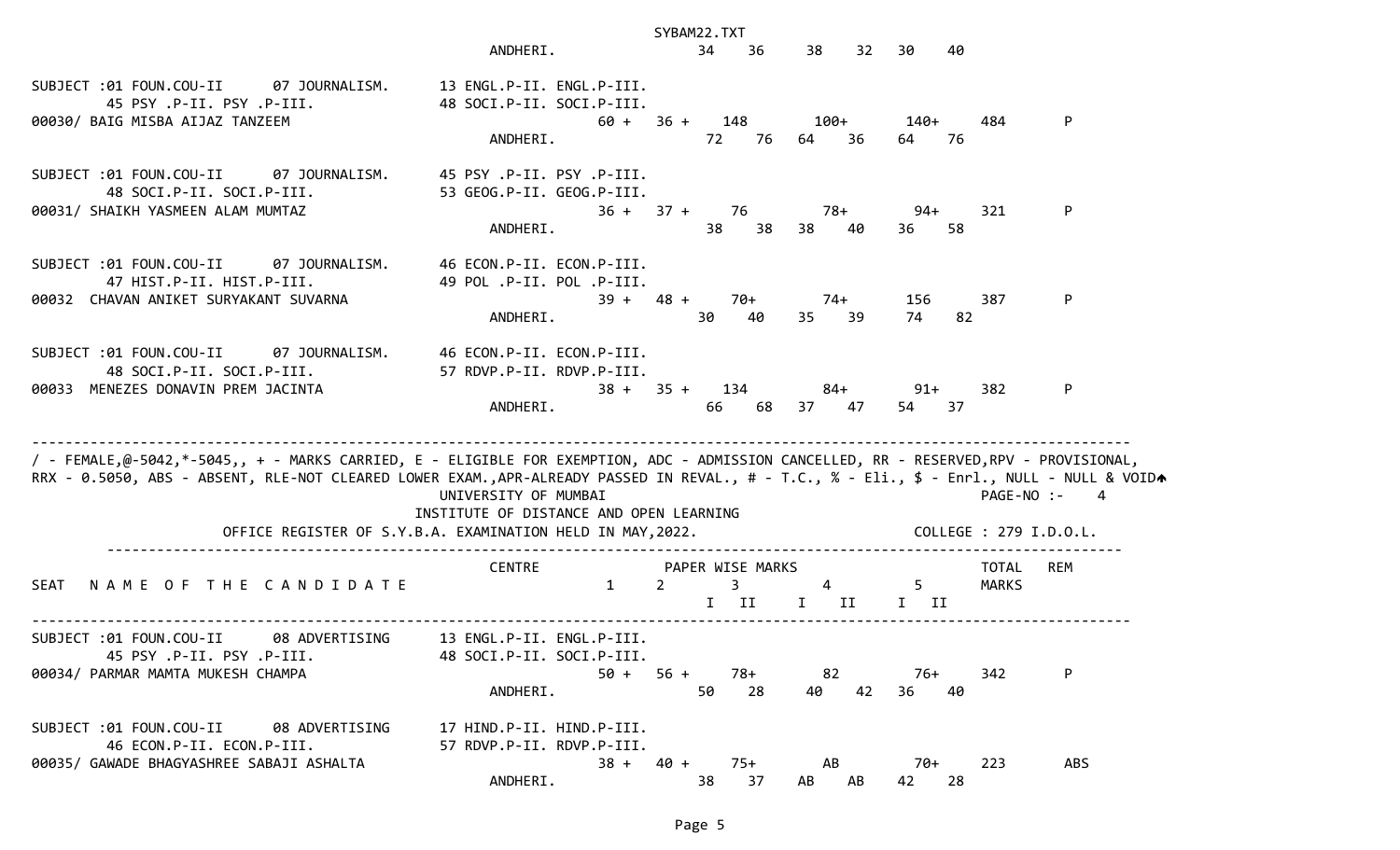|                                                                                                                                                                                                                                                                                    |                                                                                   | SYBAM22.TXT                                     |                          |                    |                              |
|------------------------------------------------------------------------------------------------------------------------------------------------------------------------------------------------------------------------------------------------------------------------------------|-----------------------------------------------------------------------------------|-------------------------------------------------|--------------------------|--------------------|------------------------------|
|                                                                                                                                                                                                                                                                                    | ANDHERI.                                                                          | 34<br>36                                        | 38<br>32                 | 30<br>40           |                              |
| SUBJECT:01 FOUN.COU-II 07 JOURNALISM.<br>45 PSY .P-II. PSY .P-III.<br>00030/ BAIG MISBA AIJAZ TANZEEM                                                                                                                                                                              | 13 ENGL.P-II. ENGL.P-III.<br>48 SOCI.P-II. SOCI.P-III.<br>ANDHERI.                | $60 + 36 + 148$<br>72<br>76                     | 100+<br>64<br>36         | 140+<br>64 —<br>76 | 484<br>P                     |
| SUBJECT :01 FOUN.COU-II<br>07 JOURNALISM.<br>48 SOCI.P-II. SOCI.P-III.<br>00031/ SHAIKH YASMEEN ALAM MUMTAZ                                                                                                                                                                        | 45 PSY .P-II. PSY .P-III.<br>53 GEOG.P-II. GEOG.P-III.<br>ANDHERI.                | $36 + 37 + 76$<br>38<br>38                      | 78+<br>38<br>40          | $94 +$<br>36<br>58 | P<br>321                     |
| SUBJECT :01 FOUN.COU-II<br>07 JOURNALISM.<br>47 HIST.P-II. HIST.P-III.<br>00032 CHAVAN ANIKET SURYAKANT SUVARNA                                                                                                                                                                    | 46 ECON.P-II. ECON.P-III.<br>49 POL .P-II. POL .P-III.<br>ANDHERI.                | 70+<br>$39 + 48 +$<br>30<br>40                  | 74+<br>35 39             | 156<br>74<br>82    | P<br>387                     |
| SUBJECT :01 FOUN.COU-II<br>48 SOCI.P-II. SOCI.P-III.<br>00033 MENEZES DONAVIN PREM JACINTA                                                                                                                                                                                         | 07 JOURNALISM. 46 ECON.P-II. ECON.P-III.<br>57 RDVP.P-II. RDVP.P-III.<br>ANDHERI. | $38 + 35 + 134$<br>68<br>66                     | 84+<br>37 47             | $91 +$<br>37<br>54 | 382<br>P                     |
| / - FEMALE,@-5042,*-5045,, + - MARKS CARRIED, E - ELIGIBLE FOR EXEMPTION, ADC - ADMISSION CANCELLED, RR - RESERVED,RPV - PROVISIONAL,<br>RRX - 0.5050, ABS - ABSENT, RLE-NOT CLEARED LOWER EXAM.,APR-ALREADY PASSED IN REVAL., # - T.C., % - Eli., \$ - Enrl., NULL - NULL & VOIDA | UNIVERSITY OF MUMBAI<br>INSTITUTE OF DISTANCE AND OPEN LEARNING                   |                                                 |                          |                    | PAGE-NO :-<br>4              |
|                                                                                                                                                                                                                                                                                    | OFFICE REGISTER OF S.Y.B.A. EXAMINATION HELD IN MAY, 2022.                        |                                                 |                          |                    | COLLEGE : 279 I.D.O.L.       |
| NAME OF THE CANDIDATE<br><b>SEAT</b>                                                                                                                                                                                                                                               | <b>CENTRE</b><br>$\mathbf{1}$                                                     | PAPER WISE MARKS<br>$\overline{2}$<br>3<br>I II | $\overline{4}$<br>$I$ II | $5 -$<br>$I$ II    | REM<br>TOTAL<br><b>MARKS</b> |
| 08 ADVERTISING<br>SUBJECT :01 FOUN.COU-II<br>45 PSY .P-II. PSY .P-III.<br>00034/ PARMAR MAMTA MUKESH CHAMPA                                                                                                                                                                        | 13 ENGL.P-II. ENGL.P-III.<br>48 SOCI.P-II. SOCI.P-III.<br>50 +<br>ANDHERI.        | $56 +$<br>78+<br>50<br>28                       | 82<br>42<br>40           | 76+<br>36<br>40    | P<br>342                     |
| SUBJECT :01 FOUN.COU-II<br>08 ADVERTISING<br>46 ECON.P-II. ECON.P-III.<br>00035/ GAWADE BHAGYASHREE SABAJI ASHALTA                                                                                                                                                                 | 17 HIND.P-II. HIND.P-III.<br>57 RDVP.P-II. RDVP.P-III.<br>ANDHERI.                | $38 + 40 +$<br>$75+$<br>37<br>38                | AB<br>AB<br>AB           | 70+<br>42<br>28    | 223<br>ABS                   |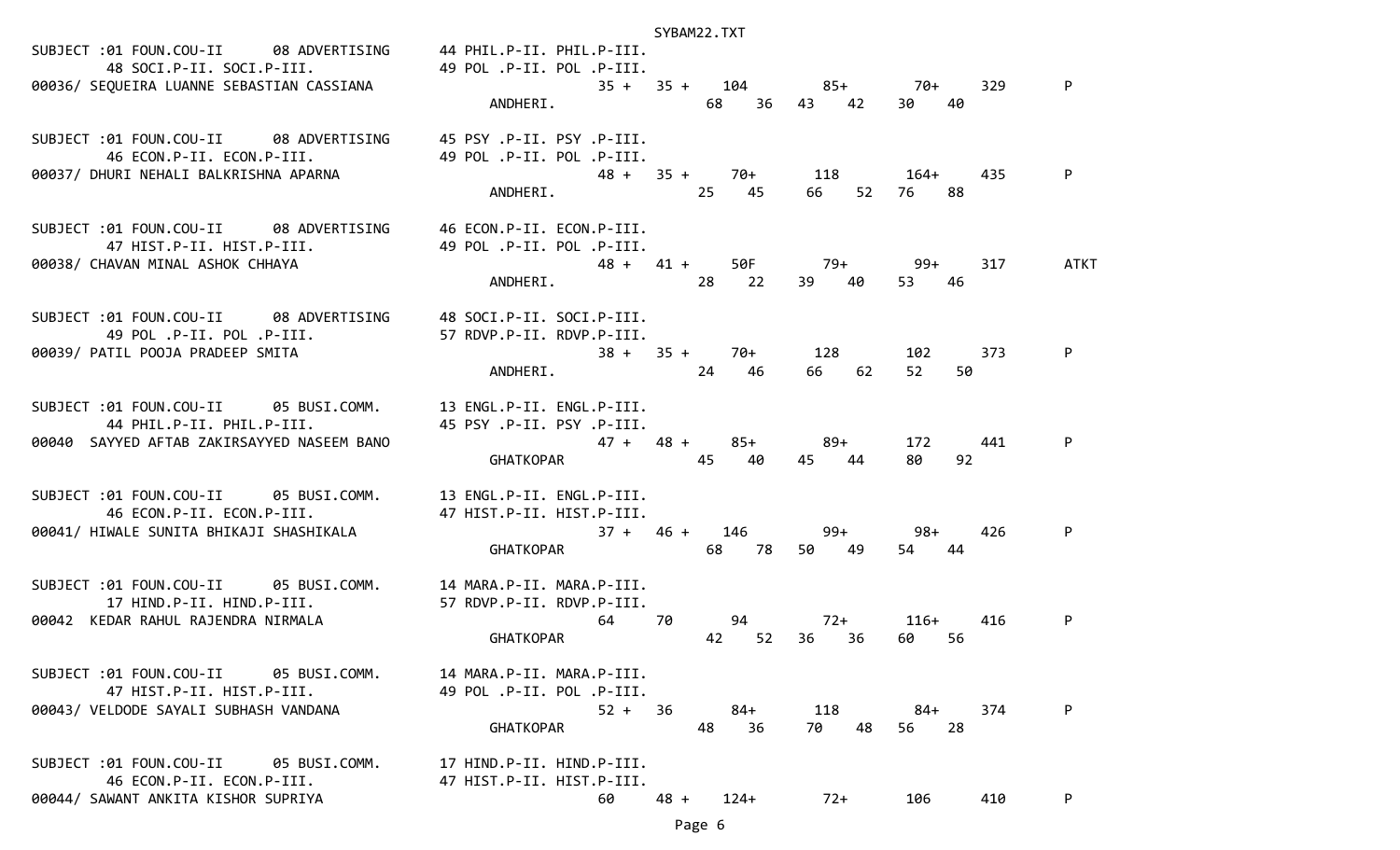|                                                                                                                         |                             | SYBAM22.TXT               |                 |                           |      |
|-------------------------------------------------------------------------------------------------------------------------|-----------------------------|---------------------------|-----------------|---------------------------|------|
| SUBJECT :01 FOUN.COU-II 08 ADVERTISING 44 PHIL.P-II. PHIL.P-III.<br>48 SOCI.P-II. SOCI.P-III. 49 POL .P-II. POL .P-III. |                             |                           |                 |                           |      |
| 00036/ SEQUEIRA LUANNE SEBASTIAN CASSIANA                                                                               | $35 + 35 + 104$ $85 + 70 +$ |                           |                 | 329                       | P    |
|                                                                                                                         | ANDHERI.                    |                           | 68 36 43 42     | 30<br>40                  |      |
|                                                                                                                         |                             |                           |                 |                           |      |
| SUBJECT :01 FOUN.COU-II 08 ADVERTISING 45 PSY.P-II. PSY.P-III.                                                          |                             |                           |                 |                           |      |
| 46 ECON.P-II. ECON.P-III. 49 POL.P-II. POL.P-III.<br>00037/ DHURI NEHALI BALKRISHNA APARNA                              |                             | $48 + 35 + 70 + 118$ 164+ |                 | 435                       |      |
|                                                                                                                         | ANDHERI. 25 45              |                           | 66<br>52        | 76 —<br>88                |      |
|                                                                                                                         |                             |                           |                 |                           |      |
| SUBJECT :01 FOUN.COU-II 08 ADVERTISING 46 ECON.P-II. ECON.P-III.                                                        |                             |                           |                 |                           |      |
| 47 HIST.P-II. HIST.P-III.<br>00038/ CHAVAN MINAL ASHOK CHHAYA                                                           | 49 POL .P-II. POL .P-III.   | 48 + 41 + 50F 79+ 99+     |                 | 317                       | ATKT |
|                                                                                                                         | ANDHERI. 28 22              |                           | 39 40           | 53<br>46                  |      |
|                                                                                                                         |                             |                           |                 |                           |      |
| SUBJECT:01 FOUN.COU-II 08 ADVERTISING 48 SOCI.P-II. SOCI.P-III.<br>49 POL .P-II. POL .P-III. 27 RDVP.P-II. RDVP.P-III.  |                             |                           |                 |                           |      |
| 00039/ PATIL POOJA PRADEEP SMITA                                                                                        |                             | $38 + 35 + 70 + 128$      |                 | 102<br>373                | P    |
|                                                                                                                         | ANDHERI. 24 46              |                           | 66 62           | 52<br>50                  |      |
| SUBJECT :01 FOUN.COU-II 05 BUSI.COMM. 13 ENGL.P-II. ENGL.P-III.                                                         |                             |                           |                 |                           |      |
| 44 PHIL.P-II. PHIL.P-III.                     45 PSY .P-II. PSY .P-III.                                                 |                             |                           |                 |                           |      |
| 00040 SAYYED AFTAB ZAKIRSAYYED NASEEM BANO                                                                              |                             | $47 + 48 + 85 + 89 +$     |                 | 172<br>441                |      |
|                                                                                                                         | GHATKOPAR 45                | 40                        | 45 44           | 92<br>80                  |      |
| SUBJECT :01 FOUN.COU-II 05 BUSI.COMM. 13 ENGL.P-II. ENGL.P-III.                                                         |                             |                           |                 |                           |      |
| 46 ECON.P-II. ECON.P-III.                                                                                               | 47 HIST.P-II. HIST.P-III.   |                           |                 |                           |      |
| 00041/ HIWALE SUNITA BHIKAJI SHASHIKALA                                                                                 |                             | $37 + 46 + 146$ 99+ 98+   |                 | 426                       | P    |
|                                                                                                                         | <b>GHATKOPAR CHATKOPAR</b>  |                           | 68 78 50 49     | 54 44                     |      |
| SUBJECT :01 FOUN.COU-II 05 BUSI.COMM. 14 MARA.P-II. MARA.P-III.                                                         |                             |                           |                 |                           |      |
| 17 HIND.P-II. HIND.P-III.                                                                                               | 57 RDVP.P-II. RDVP.P-III.   |                           |                 |                           |      |
| 00042 KEDAR RAHUL RAJENDRA NIRMALA                                                                                      |                             | 64 70 94                  | $72+$<br>36     | 416<br>116+<br>56<br>60 — | P    |
|                                                                                                                         | <b>GHATKOPAR</b>            | 42 52                     | 36              |                           |      |
| 05 BUSI.COMM.<br>SUBJECT :01 FOUN.COU-II                                                                                | 14 MARA.P-II. MARA.P-III.   |                           |                 |                           |      |
| 47 HIST.P-II. HIST.P-III.                                                                                               | 49 POL .P-II. POL .P-III.   |                           |                 |                           |      |
| 00043/ VELDODE SAYALI SUBHASH VANDANA                                                                                   | $52 +$                      | 84+<br>-36<br>48<br>36    | 118<br>70<br>48 | 374<br>84+<br>28          | P    |
|                                                                                                                         | <b>GHATKOPAR</b>            |                           |                 | 56                        |      |
| SUBJECT :01 FOUN.COU-II<br>05 BUSI.COMM.                                                                                | 17 HIND.P-II. HIND.P-III.   |                           |                 |                           |      |
| 46 ECON.P-II. ECON.P-III.                                                                                               | 47 HIST.P-II. HIST.P-III.   |                           |                 |                           |      |
| 00044/ SAWANT ANKITA KISHOR SUPRIYA                                                                                     | 60                          | $48 +$<br>$124+$          | $72+$           | 106<br>410                | P    |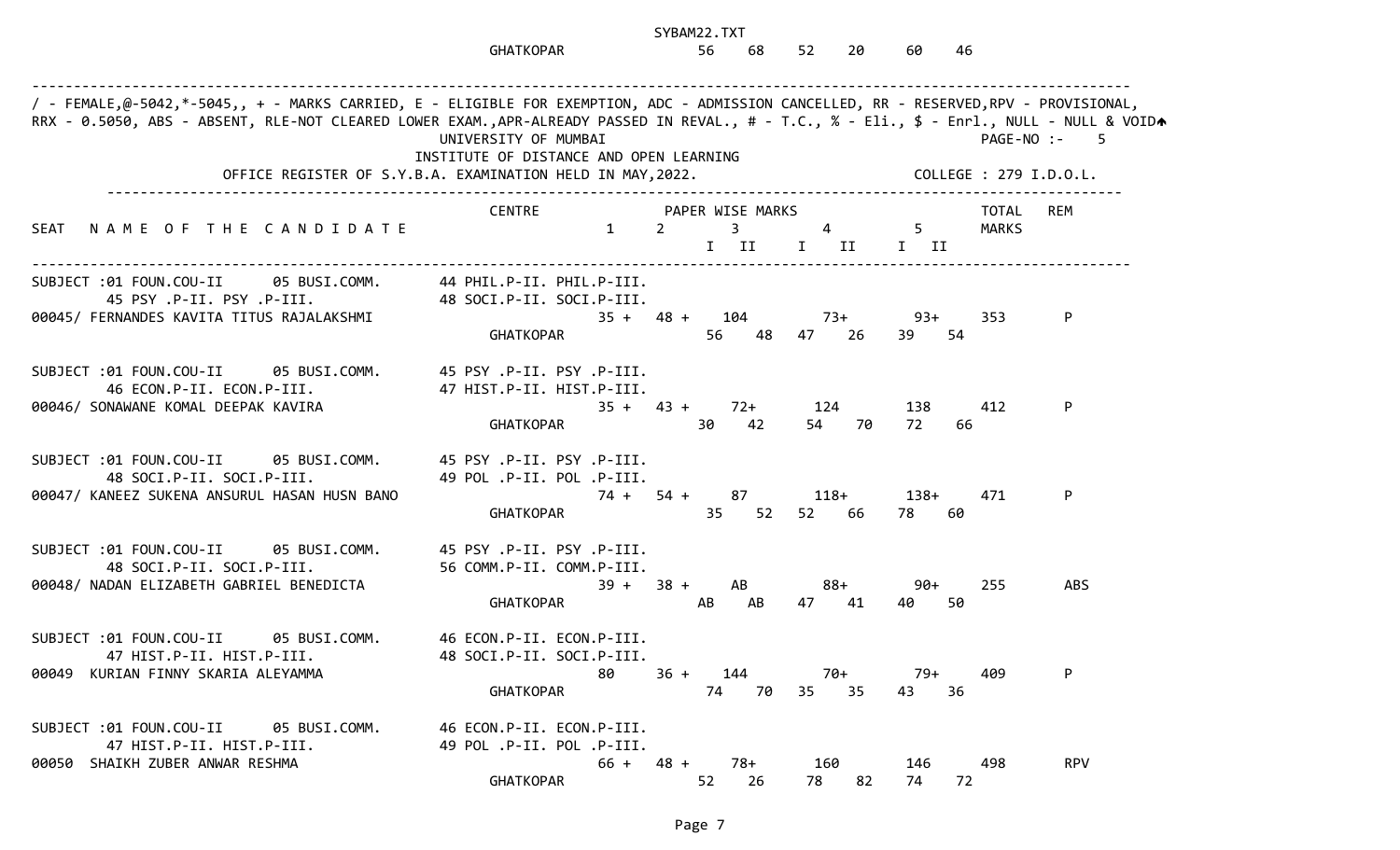|                                                                                                                                                                                                                                                                                    | <b>GHATKOPAR</b>                                                                                                              | SYBAM22.TXT<br>56<br>68                       | 52<br>20              | 60<br>-46                  |                                        |
|------------------------------------------------------------------------------------------------------------------------------------------------------------------------------------------------------------------------------------------------------------------------------------|-------------------------------------------------------------------------------------------------------------------------------|-----------------------------------------------|-----------------------|----------------------------|----------------------------------------|
| / - FEMALE,@-5042,*-5045,, + - MARKS CARRIED, E - ELIGIBLE FOR EXEMPTION, ADC - ADMISSION CANCELLED, RR - RESERVED,RPV - PROVISIONAL,<br>RRX - 0.5050, ABS - ABSENT, RLE-NOT CLEARED LOWER EXAM.,APR-ALREADY PASSED IN REVAL., # - T.C., % - Eli., \$ - Enrl., NULL - NULL & VOIDA | UNIVERSITY OF MUMBAI<br>INSTITUTE OF DISTANCE AND OPEN LEARNING<br>OFFICE REGISTER OF S.Y.B.A. EXAMINATION HELD IN MAY, 2022. |                                               |                       | COLLEGE : 279 I.D.O.L.     | PAGE-NO :-<br>$\overline{\phantom{0}}$ |
| NAME OF THE CANDIDATE<br>SEAT                                                                                                                                                                                                                                                      | CENTRE<br>$1 \t 2$                                                                                                            | PAPER WISE MARKS<br>$3 \t 4 \t 5$<br>$I$ $II$ | I II I II             | TOTAL<br>MARKS             | <b>REM</b>                             |
| SUBJECT :01 FOUN.COU-II 05 BUSI.COMM. 44 PHIL.P-II. PHIL.P-III.<br>45 PSY .P-II. PSY .P-III.<br>00045/ FERNANDES KAVITA TITUS RAJALAKSHMI                                                                                                                                          | 48 SOCI.P-II. SOCI.P-III.<br><b>GHATKOPAR</b>                                                                                 | $35 + 48 + 104$<br>56 48                      | $73+$<br>47 26        | 93+<br>353<br>39<br>54     | P                                      |
| SUBJECT :01 FOUN.COU-II 05 BUSI.COMM.<br>46 ECON.P-II. ECON.P-III.<br>00046/ SONAWANE KOMAL DEEPAK KAVIRA                                                                                                                                                                          | .P-II. PSY .P-II. PSY .P-III.<br>47 HIST.P-II. HIST.P-III.<br><b>GHATKOPAR</b>                                                | $35 + 43 +$<br>30<br>42                       | $72+$ 124<br>54<br>70 | 138<br>412<br>72<br>66     | P                                      |
| SUBJECT :01 FOUN.COU-II 05 BUSI.COMM.<br>48 SOCI.P-II. SOCI.P-III.<br>00047/ KANEEZ SUKENA ANSURUL HASAN HUSN BANO                                                                                                                                                                 | .P-II. PSY .P-II. PSY .P-III.<br>49 POL .P-II. POL .P-III.<br>74 +<br><b>GHATKOPAR</b>                                        | 54 + 87<br>35<br>52                           | 118+<br>52 66         | 138+<br>471<br>78 —<br>-60 | P                                      |
| SUBJECT :01 FOUN.COU-II<br>05 BUSI.COMM.<br>48 SOCI.P-II. SOCI.P-III.<br>00048/ NADAN ELIZABETH GABRIEL BENEDICTA                                                                                                                                                                  | 45 PSY .P-II. PSY .P-III.<br>56 COMM.P-II. COMM.P-III.<br>$39 +$<br><b>GHATKOPAR</b>                                          | $38 +$<br>AB<br>AB<br>AB                      | 88+<br>47<br>41       | $90+$<br>255<br>50<br>40   | <b>ABS</b>                             |
| SUBJECT :01 FOUN.COU-II<br>05 BUSI.COMM.<br>47 HIST.P-II. HIST.P-III.<br>00049 KURIAN FINNY SKARIA ALEYAMMA                                                                                                                                                                        | 46 ECON.P-II. ECON.P-III.<br>48 SOCI.P-II. SOCI.P-III.<br>80<br>GHATKOPAR                                                     | $36 + 144$<br>74 70                           | 70+<br>35 35          | 409<br>- 79+<br>43<br>36   | P                                      |
| SUBJECT :01 FOUN.COU-II 05 BUSI.COMM.<br>47 HIST.P-II. HIST.P-III.<br>00050 SHAIKH ZUBER ANWAR RESHMA                                                                                                                                                                              | 46 ECON.P-II. ECON.P-III.<br>49 POL .P-II. POL .P-III.<br><b>GHATKOPAR</b>                                                    | $66 + 48 +$<br>78+<br>52<br>26                | 160<br>78<br>82       | 498<br>146<br>74<br>72     | <b>RPV</b>                             |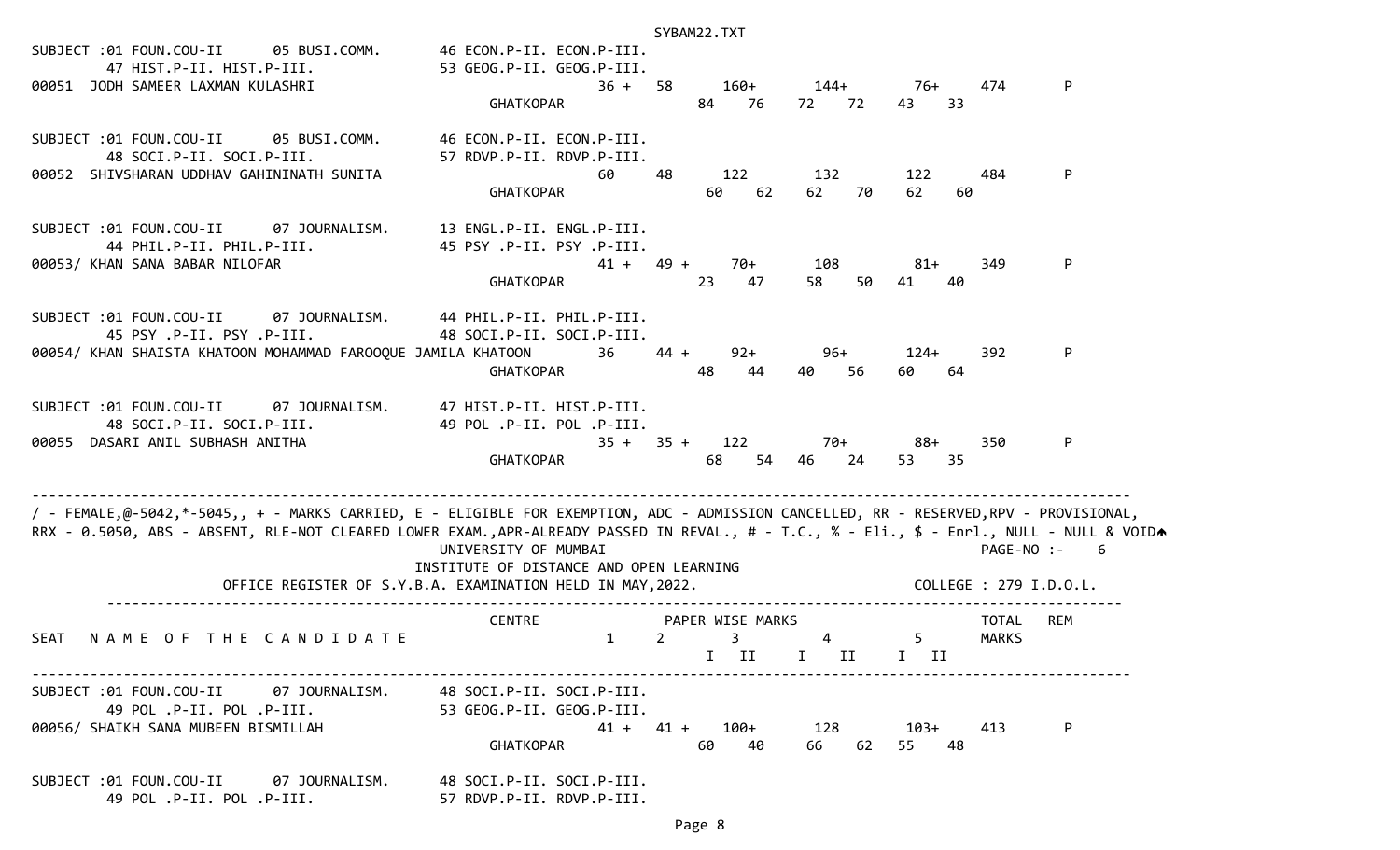| SUBJECT :01 FOUN.COU-II 05 BUSI.COMM. 46 ECON.P-II. ECON.P-III.                                                                                                                                                                                                                    |                                                                                                                               | SYBAM22.TXT                                                        |                            |                                          |                 |
|------------------------------------------------------------------------------------------------------------------------------------------------------------------------------------------------------------------------------------------------------------------------------------|-------------------------------------------------------------------------------------------------------------------------------|--------------------------------------------------------------------|----------------------------|------------------------------------------|-----------------|
| 47 HIST.P-II. HIST.P-III.<br>00051 JODH SAMEER LAXMAN KULASHRI                                                                                                                                                                                                                     | 53 GEOG.P-II. GEOG.P-III.<br>$36 + 58$<br><b>GHATKOPAR</b>                                                                    | 84 76                                                              | $160+$ $144+$ 76+<br>72 72 | 474<br>33<br>43                          | P               |
| SUBJECT :01 FOUN.COU-II 05 BUSI.COMM.<br>48 SOCI.P-II. SOCI.P-III.<br>00052 SHIVSHARAN UDDHAV GAHININATH SUNITA                                                                                                                                                                    | 46 ECON.P-II. ECON.P-III.<br>57 RDVP.P-II. RDVP.P-III.<br>60<br><b>GHATKOPAR</b>                                              | 122<br>-48<br>62<br>60                                             | 132<br>62<br>70<br>62      | 122<br>484<br>60                         | P               |
| SUBJECT :01 FOUN.COU-II 07 JOURNALISM.<br>44 PHIL.P-II. PHIL.P-III.<br>00053/ KHAN SANA BABAR NILOFAR                                                                                                                                                                              | 13 ENGL.P-II. ENGL.P-III.<br>45 PSY .P-II. PSY .P-III.<br><b>GHATKOPAR</b>                                                    | 70+<br>$41 + 49 +$<br>23<br>47                                     | 108<br>50<br>41<br>58      | 81+<br>349<br>40                         | P               |
| SUBJECT :01 FOUN.COU-II 07 JOURNALISM. 44 PHIL.P-II. PHIL.P-III.<br>45 PSY .P-II. PSY .P-III.<br>00054/ KHAN SHAISTA KHATOON MOHAMMAD FAROOQUE JAMILA KHATOON                 36                                                                                                   | 48 SOCI.P-II. SOCI.P-III.<br>GHATKOPAR                                                                                        | $44 +$<br>$92+$<br>48<br>44<br>40                                  | 96+<br>56<br>60            | $124+$<br>392<br>64                      | P               |
| SUBJECT :01 FOUN.COU-II 07 JOURNALISM. 47 HIST.P-II. HIST.P-III.<br>48 SOCI.P-II. SOCI.P-III.<br>00055 DASARI ANIL SUBHASH ANITHA                                                                                                                                                  | 49 POL .P-II. POL .P-III.<br>GHATKOPAR                                                                                        | $35 + 35 + 122$<br>54<br>68                                        | 70+<br>46 24               | 88+<br>350<br>53<br>35                   | P               |
| / - FEMALE,@-5042,*-5045,, + - MARKS CARRIED, E - ELIGIBLE FOR EXEMPTION, ADC - ADMISSION CANCELLED, RR - RESERVED,RPV - PROVISIONAL,<br>RRX - 0.5050, ABS - ABSENT, RLE-NOT CLEARED LOWER EXAM.,APR-ALREADY PASSED IN REVAL., # - T.C., % - Eli., \$ - Enrl., NULL - NULL & VOIDA | UNIVERSITY OF MUMBAI<br>INSTITUTE OF DISTANCE AND OPEN LEARNING<br>OFFICE REGISTER OF S.Y.B.A. EXAMINATION HELD IN MAY, 2022. |                                                                    |                            | COLLEGE : 279 I.D.O.L.                   | PAGE-NO :-<br>6 |
|                                                                                                                                                                                                                                                                                    | <b>CENTRE</b>                                                                                                                 | PAPER WISE MARKS                                                   |                            |                                          | <b>REM</b>      |
| SEAT<br>NAME OF THE CANDIDATE                                                                                                                                                                                                                                                      | $\mathbf{1}$                                                                                                                  | $2^{\circ}$<br>$\overline{\mathbf{3}}$<br>II<br>$\mathbf{I}$<br>Ι. | $\overline{4}$<br>II<br>I. | TOTAL<br>5 <sup>5</sup><br>MARKS<br>II — |                 |
| SUBJECT :01 FOUN.COU-II<br>07 JOURNALISM.<br>49 POL .P-II. POL .P-III.<br>00056/ SHAIKH SANA MUBEEN BISMILLAH                                                                                                                                                                      | 48 SOCI.P-II. SOCI.P-III.<br>53 GEOG.P-II. GEOG.P-III.<br>GHATKOPAR                                                           | $41 + 41 +$<br>100+<br>60<br>40                                    | 128<br>66<br>62            | 103+<br>413<br>55<br>48                  | P               |
| SUBJECT :01 FOUN.COU-II 07 JOURNALISM.<br>49 POL .P-II. POL .P-III.                                                                                                                                                                                                                | 48 SOCI.P-II. SOCI.P-III.<br>57 RDVP.P-II. RDVP.P-III.                                                                        |                                                                    |                            |                                          |                 |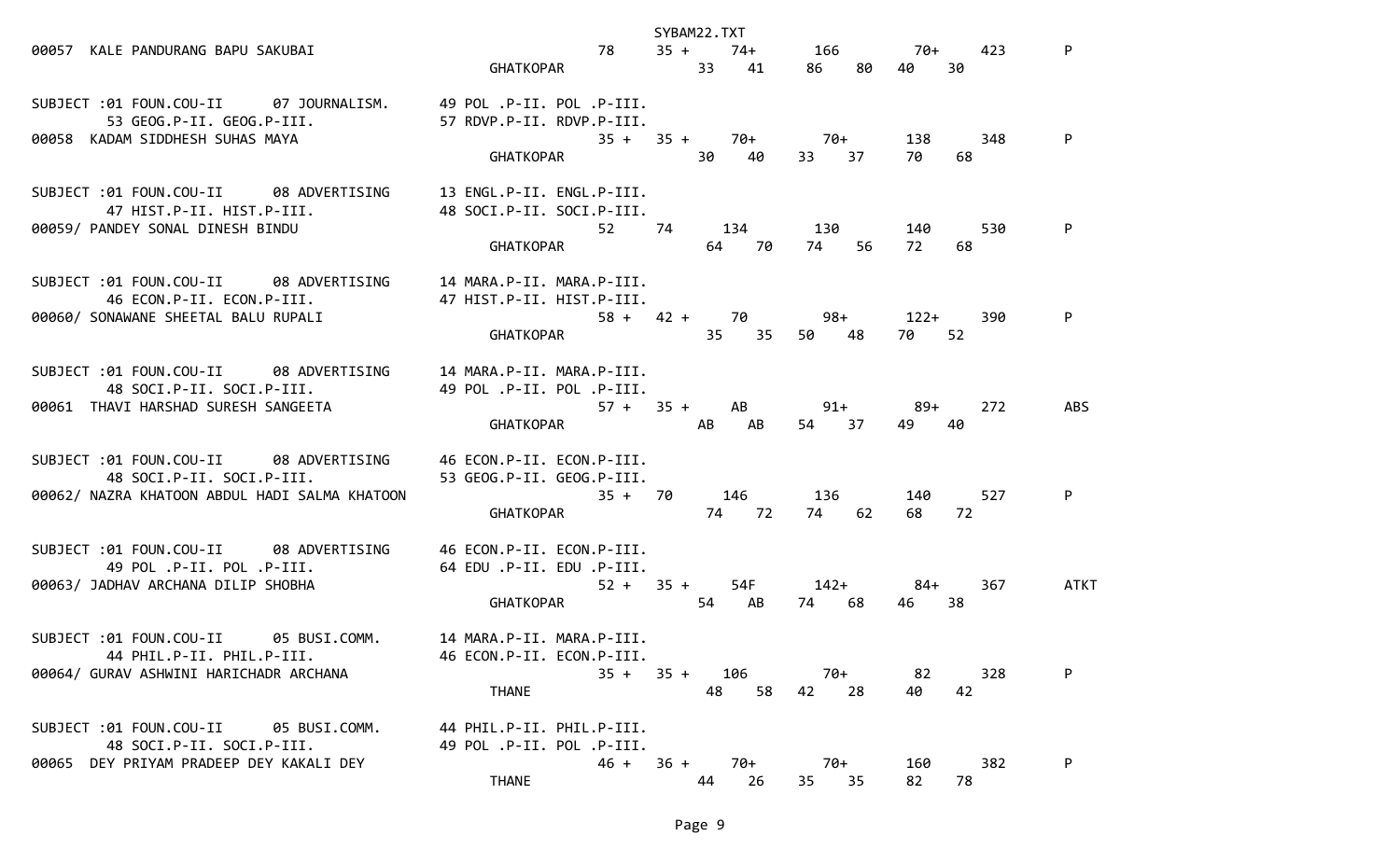|                                                                  |                            | SYBAM22.TXT                  |             |                                                                                                                                                                                                                                        |      |
|------------------------------------------------------------------|----------------------------|------------------------------|-------------|----------------------------------------------------------------------------------------------------------------------------------------------------------------------------------------------------------------------------------------|------|
| 00057 KALE PANDURANG BAPU SAKUBAI                                | 78                         | $35 + 74 + 166$ 70+          |             | 423                                                                                                                                                                                                                                    | P    |
|                                                                  | GHATKOPAR                  | 33 41                        | 86 80       | 30<br>40                                                                                                                                                                                                                               |      |
|                                                                  |                            |                              |             |                                                                                                                                                                                                                                        |      |
| SUBJECT :01 FOUN.COU-II 07 JOURNALISM. 49 POL.P-II. POL.P-III.   |                            |                              |             |                                                                                                                                                                                                                                        |      |
| 53 GEOG.P-II. GEOG.P-III.                                        | 57 RDVP.P-II. RDVP.P-III.  |                              |             |                                                                                                                                                                                                                                        |      |
| 00058 KADAM SIDDHESH SUHAS MAYA                                  | GHATKOPAR 30 40            | $35 + 35 + 70 + 70 +$        | 33 37       | 138 —<br>348<br>70.                                                                                                                                                                                                                    | P    |
|                                                                  |                            |                              |             | 68                                                                                                                                                                                                                                     |      |
| SUBJECT :01 FOUN.COU-II 08 ADVERTISING                           | 13 ENGL.P-II. ENGL.P-III.  |                              |             |                                                                                                                                                                                                                                        |      |
| 47 HIST.P-II. HIST.P-III.                                        | 48 SOCI.P-II. SOCI.P-III.  |                              |             |                                                                                                                                                                                                                                        |      |
| 00059/ PANDEY SONAL DINESH BINDU                                 |                            | 52 74 134 130                |             | 140<br>530                                                                                                                                                                                                                             | P    |
|                                                                  | <b>GHATKOPAR CHATKOPAR</b> | 64 70                        | 56<br>74    | 72<br>68                                                                                                                                                                                                                               |      |
|                                                                  |                            |                              |             |                                                                                                                                                                                                                                        |      |
| SUBJECT :01 FOUN.COU-II 08 ADVERTISING                           | 14 MARA.P-II. MARA.P-III.  |                              |             |                                                                                                                                                                                                                                        |      |
| 46 ECON.P-II. ECON.P-III.                                        | 47 HIST.P-II. HIST.P-III.  |                              |             |                                                                                                                                                                                                                                        |      |
| 00060/ SONAWANE SHEETAL BALU RUPALI                              |                            | $58 + 42 + 70$ 98+ 122+      |             | 390                                                                                                                                                                                                                                    | P    |
|                                                                  | GHATKOPAR                  |                              | 35 35 50 48 | 52<br>70 —                                                                                                                                                                                                                             |      |
| SUBJECT :01 FOUN.COU-II 08 ADVERTISING                           | 14 MARA.P-II. MARA.P-III.  |                              |             |                                                                                                                                                                                                                                        |      |
| 48 SOCI.P-II. SOCI.P-III.                                        | 49 POL .P-II. POL .P-III.  |                              |             |                                                                                                                                                                                                                                        |      |
| 00061 THAVI HARSHAD SURESH SANGEETA                              |                            | $57 + 35 + AB$ 91+           |             | 89+<br>272                                                                                                                                                                                                                             | ABS  |
|                                                                  | GHATKOPAR AB               | AB                           | 54 37       | 49<br>40                                                                                                                                                                                                                               |      |
|                                                                  |                            |                              |             |                                                                                                                                                                                                                                        |      |
| SUBJECT :01 FOUN.COU-II 08 ADVERTISING 46 ECON.P-II. ECON.P-III. |                            |                              |             |                                                                                                                                                                                                                                        |      |
| 48 SOCI.P-II. SOCI.P-III.                                        | 53 GEOG.P-II. GEOG.P-III.  |                              |             |                                                                                                                                                                                                                                        |      |
| 00062/ NAZRA KHATOON ABDUL HADI SALMA KHATOON                    | $35 + 70$                  |                              | 146 136     | 527<br>140 — 140 — 140 — 140 — 140 — 140 — 140 — 140 — 140 — 140 — 140 — 140 — 140 — 140 — 140 — 140 — 140 — 140 — 140 — 140 — 140 — 140 — 140 — 140 — 140 — 140 — 140 — 140 — 140 — 140 — 140 — 140 — 140 — 140 — 140 — 140 — 140 — 1 | P    |
|                                                                  | GHATKOPAR                  | 74 72                        | 74 62       | 72<br>68 —                                                                                                                                                                                                                             |      |
| SUBJECT :01 FOUN.COU-II 08 ADVERTISING                           | 46 ECON.P-II. ECON.P-III.  |                              |             |                                                                                                                                                                                                                                        |      |
| 49 POL .P-II. POL .P-III.                                        | 64 EDU .P-II. EDU .P-III.  |                              |             |                                                                                                                                                                                                                                        |      |
| 00063/ JADHAV ARCHANA DILIP SHOBHA                               |                            | $52 + 35 + 54F$ $142+$ $84+$ |             | 367                                                                                                                                                                                                                                    | ATKT |
|                                                                  | GHATKOPAR                  | 54 AB                        | 74 68       | 46 —<br>38                                                                                                                                                                                                                             |      |
|                                                                  |                            |                              |             |                                                                                                                                                                                                                                        |      |
| SUBJECT :01 FOUN.COU-II 05 BUSI.COMM. 14 MARA.P-II. MARA.P-III.  |                            |                              |             |                                                                                                                                                                                                                                        |      |
| 44 PHIL.P-II. PHIL.P-III.                                        | 46 ECON.P-II. ECON.P-III.  |                              |             |                                                                                                                                                                                                                                        |      |
| 00064/ GURAV ASHWINI HARICHADR ARCHANA                           | $35 + 35 +$                | 106                          | 70+         | 82<br>328                                                                                                                                                                                                                              | P    |
|                                                                  | <b>THANE</b>               | 58<br>48                     | 42<br>28    | 42<br>40                                                                                                                                                                                                                               |      |
| SUBJECT :01 FOUN.COU-II<br>05 BUSI.COMM.                         | 44 PHIL.P-II. PHIL.P-III.  |                              |             |                                                                                                                                                                                                                                        |      |
| 48 SOCI.P-II. SOCI.P-III.                                        | 49 POL .P-II. POL .P-III.  |                              |             |                                                                                                                                                                                                                                        |      |
| 00065 DEY PRIYAM PRADEEP DEY KAKALI DEY                          | $46 + 36 +$                | 70+                          | 70+         | 382<br>160                                                                                                                                                                                                                             | P    |
|                                                                  | <b>THANE</b>               | 44<br>26                     | 35 35       | 82<br>78                                                                                                                                                                                                                               |      |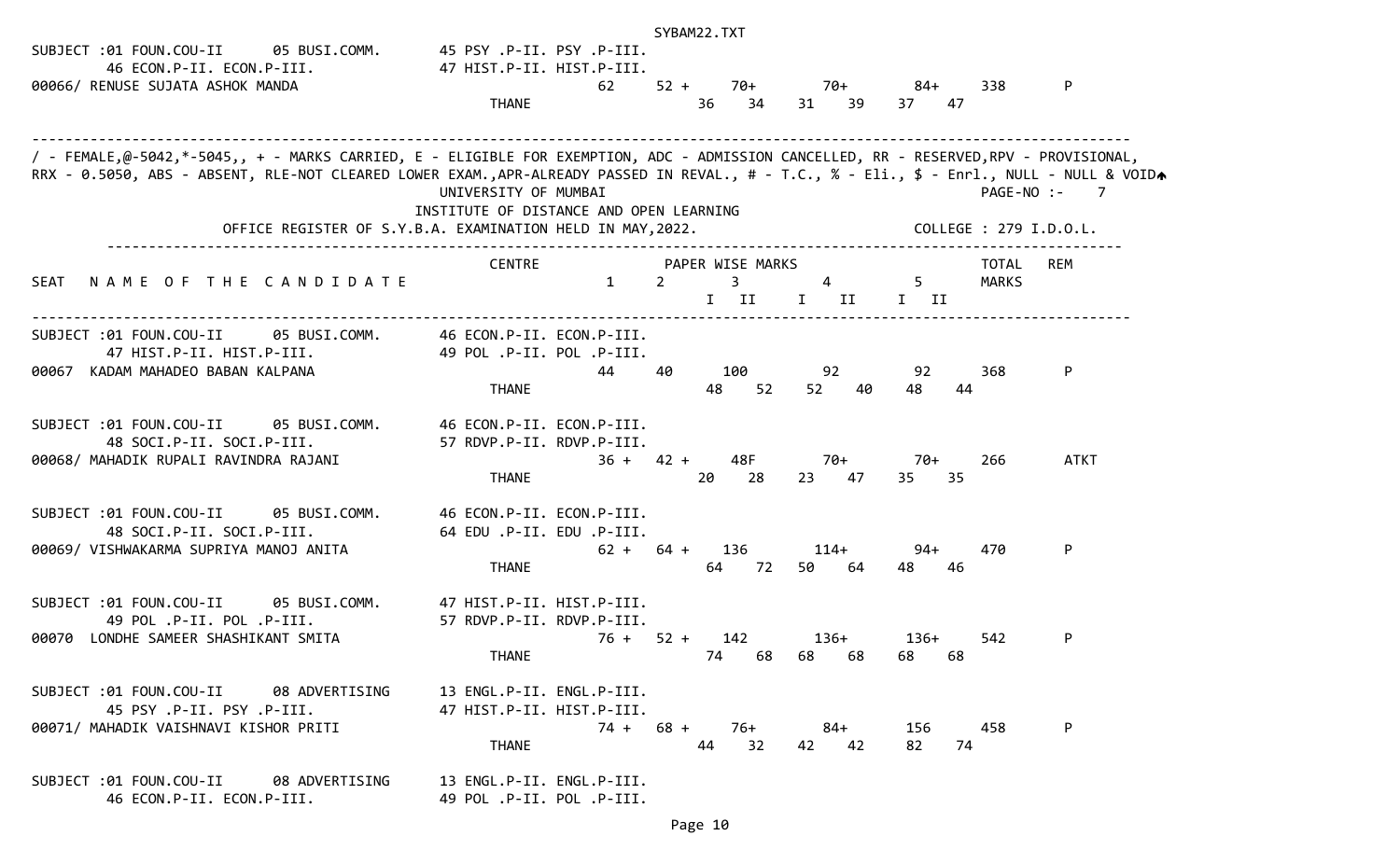|                                                                                                                                           |                                                             |              |                | SYBAM22.TXT |                  |    |                |                                                         |    |              |                        |
|-------------------------------------------------------------------------------------------------------------------------------------------|-------------------------------------------------------------|--------------|----------------|-------------|------------------|----|----------------|---------------------------------------------------------|----|--------------|------------------------|
| SUBJECT :01 FOUN.COU-II<br>05 BUSI.COMM.                                                                                                  | 45 PSY .P-II. PSY .P-III.                                   |              |                |             |                  |    |                |                                                         |    |              |                        |
| 46 ECON.P-II. ECON.P-III.                                                                                                                 | 47 HIST.P-II. HIST.P-III.                                   |              |                |             |                  |    |                |                                                         |    |              |                        |
| 00066/ RENUSE SUJATA ASHOK MANDA                                                                                                          |                                                             | 62           | $52 +$         |             | 70+              |    | 70+            | 84+                                                     |    | 338          | P                      |
|                                                                                                                                           | <b>THANE</b>                                                |              |                | 36          | 34               | 31 | -39            | 37                                                      | 47 |              |                        |
|                                                                                                                                           |                                                             |              |                |             |                  |    |                |                                                         |    |              |                        |
|                                                                                                                                           |                                                             |              |                |             |                  |    |                |                                                         |    |              |                        |
| / - FEMALE,@-5042,*-5045,, + - MARKS CARRIED, E - ELIGIBLE FOR EXEMPTION, ADC - ADMISSION CANCELLED, RR - RESERVED,RPV - PROVISIONAL,     |                                                             |              |                |             |                  |    |                |                                                         |    |              |                        |
| RRX - 0.5050, ABS - ABSENT, RLE-NOT CLEARED LOWER EXAM.,APR-ALREADY PASSED IN REVAL., # - T.C., % - Eli., \$ - Enrl., NULL - NULL & VOIDA | UNIVERSITY OF MUMBAI                                        |              |                |             |                  |    |                |                                                         |    | PAGE-NO :-   | $\overline{7}$         |
|                                                                                                                                           | INSTITUTE OF DISTANCE AND OPEN LEARNING                     |              |                |             |                  |    |                |                                                         |    |              |                        |
| OFFICE REGISTER OF S.Y.B.A. EXAMINATION HELD IN MAY, 2022.                                                                                |                                                             |              |                |             |                  |    |                |                                                         |    |              | COLLEGE : 279 I.D.O.L. |
|                                                                                                                                           |                                                             |              |                |             |                  |    |                |                                                         |    |              |                        |
|                                                                                                                                           | <b>CENTRE</b>                                               |              |                |             | PAPER WISE MARKS |    |                |                                                         |    | TOTAL        | REM                    |
| NAME OF THE CANDIDATE<br><b>SEAT</b>                                                                                                      |                                                             | $\mathbf{1}$ | $\overline{2}$ |             | $\overline{3}$   |    | $\overline{4}$ | $5 -$                                                   |    | <b>MARKS</b> |                        |
|                                                                                                                                           |                                                             |              |                |             | I II             |    | $I$ II         | $\begin{array}{ccc} & \text{I} & \text{II} \end{array}$ |    |              |                        |
| SUBJECT :01 FOUN.COU-II<br>05 BUSI.COMM.                                                                                                  | 46 ECON.P-II. ECON.P-III.                                   |              |                |             |                  |    |                |                                                         |    |              |                        |
| 47 HIST.P-II. HIST.P-III.                                                                                                                 | 49 POL .P-II. POL .P-III.                                   |              |                |             |                  |    |                |                                                         |    |              |                        |
| 00067 KADAM MAHADEO BABAN KALPANA                                                                                                         |                                                             | 44           | 40             |             | 100              |    | 92             | 92                                                      |    | 368          | P                      |
|                                                                                                                                           | <b>THANE</b>                                                |              |                | 48          | 52               |    | 52<br>40       | 48.                                                     | 44 |              |                        |
|                                                                                                                                           |                                                             |              |                |             |                  |    |                |                                                         |    |              |                        |
| SUBJECT :01 FOUN.COU-II<br>05 BUSI.COMM.                                                                                                  | 46 ECON.P-II. ECON.P-III.                                   |              |                |             |                  |    |                |                                                         |    |              |                        |
| 48 SOCI.P-II. SOCI.P-III.                                                                                                                 | 57 RDVP.P-II. RDVP.P-III.                                   |              |                |             |                  |    |                |                                                         |    |              |                        |
| 00068/ MAHADIK RUPALI RAVINDRA RAJANI                                                                                                     |                                                             | $36 + 42 +$  |                |             | 48F              |    | 70+            | 70+                                                     |    | 266          | <b>ATKT</b>            |
|                                                                                                                                           | <b>THANE</b>                                                |              |                | 20          | 28               |    | 23 47          | 35                                                      | 35 |              |                        |
|                                                                                                                                           |                                                             |              |                |             |                  |    |                |                                                         |    |              |                        |
| SUBJECT :01 FOUN.COU-II<br>05 BUSI.COMM.<br>48 SOCI.P-II. SOCI.P-III.                                                                     | 46 ECON.P-II. ECON.P-III.<br>.P-III. EDU .P-II. EDU .P-III. |              |                |             |                  |    |                |                                                         |    |              |                        |
| 00069/ VISHWAKARMA SUPRIYA MANOJ ANITA                                                                                                    |                                                             | $62 + 64 +$  |                |             | 136              |    | $114+$         | $94+$                                                   |    | 470          | P                      |
|                                                                                                                                           | <b>THANE</b>                                                |              |                | 64          | 72               |    | 50 —<br>-64    | 48                                                      | 46 |              |                        |
|                                                                                                                                           |                                                             |              |                |             |                  |    |                |                                                         |    |              |                        |
| SUBJECT :01 FOUN.COU-II<br>05 BUSI.COMM.                                                                                                  | 47 HIST.P-II. HIST.P-III.                                   |              |                |             |                  |    |                |                                                         |    |              |                        |
| 49 POL .P-II. POL .P-III.                                                                                                                 | 57 RDVP.P-II. RDVP.P-III.                                   |              |                |             |                  |    |                |                                                         |    |              |                        |
| 00070 LONDHE SAMEER SHASHIKANT SMITA                                                                                                      |                                                             | $76 + 52 +$  |                |             | 142              |    | 136+           | 136+                                                    |    | 542          | P                      |
|                                                                                                                                           | <b>THANE</b>                                                |              |                | 74          | 68               | 68 | 68             | 68                                                      | 68 |              |                        |
|                                                                                                                                           |                                                             |              |                |             |                  |    |                |                                                         |    |              |                        |
| SUBJECT :01 FOUN.COU-II 08 ADVERTISING                                                                                                    | 13 ENGL.P-II. ENGL.P-III.                                   |              |                |             |                  |    |                |                                                         |    |              |                        |
| 45 PSY .P-II. PSY .P-III.                                                                                                                 | 47 HIST.P-II. HIST.P-III.                                   |              |                |             |                  |    |                |                                                         |    | 458          |                        |
| 00071/ MAHADIK VAISHNAVI KISHOR PRITI                                                                                                     | <b>THANE</b>                                                | $74 + 68 +$  |                | 44          | 76+<br>32        | 42 | 84+<br>42      | 156<br>82                                               | 74 |              | P                      |
|                                                                                                                                           |                                                             |              |                |             |                  |    |                |                                                         |    |              |                        |
| SUBJECT :01 FOUN.COU-II 08 ADVERTISING                                                                                                    | 13 ENGL.P-II. ENGL.P-III.                                   |              |                |             |                  |    |                |                                                         |    |              |                        |
| 46 ECON.P-II. ECON.P-III.                                                                                                                 | 49 POL .P-II. POL .P-III.                                   |              |                |             |                  |    |                |                                                         |    |              |                        |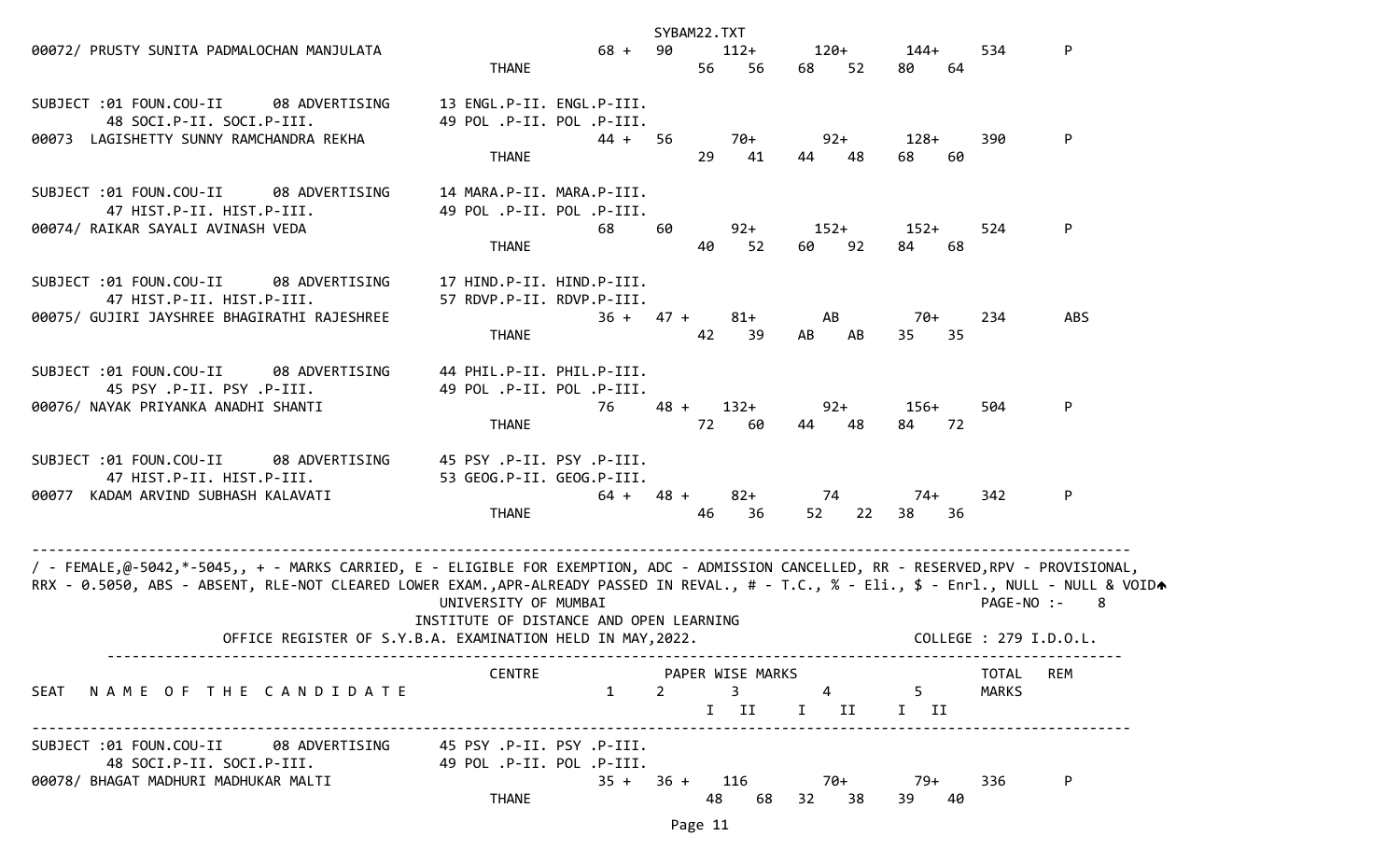| 00072/ PRUSTY SUNITA PADMALOCHAN MANJULATA                                                                                                                                                                                                                                         | <b>THANE</b>                                                           | 68 +        | SYBAM22.TXT<br>90 | 56      | $112+$<br>56                                                            | 120+<br>68   | 52 | 144+<br>80      | 534<br>64              | P          |
|------------------------------------------------------------------------------------------------------------------------------------------------------------------------------------------------------------------------------------------------------------------------------------|------------------------------------------------------------------------|-------------|-------------------|---------|-------------------------------------------------------------------------|--------------|----|-----------------|------------------------|------------|
| SUBJECT :01 FOUN.COU-II<br>08 ADVERTISING<br>48 SOCI.P-II. SOCI.P-III.<br>00073 LAGISHETTY SUNNY RAMCHANDRA REKHA                                                                                                                                                                  | 13 ENGL.P-II. ENGL.P-III.<br>49 POL .P-II. POL .P-III.<br><b>THANE</b> | 44 +        | -56               | 29      | $70+$<br>41                                                             | $92+$<br>44  | 48 | $128+$<br>68    | 390<br>60              | P          |
| SUBJECT :01 FOUN.COU-II<br>08 ADVERTISING<br>47 HIST.P-II. HIST.P-III.<br>00074/ RAIKAR SAYALI AVINASH VEDA                                                                                                                                                                        | 14 MARA.P-II. MARA.P-III.<br>49 POL .P-II. POL .P-III.<br><b>THANE</b> | 68          | 60                | 40      | $92+$<br>52                                                             | $152+$<br>60 | 92 | $152+$<br>84    | 524<br>68              | P          |
| SUBJECT :01 FOUN.COU-II<br>08 ADVERTISING<br>47 HIST.P-II. HIST.P-III.<br>00075/ GUJIRI JAYSHREE BHAGIRATHI RAJESHREE                                                                                                                                                              | 17 HIND.P-II. HIND.P-III.<br>57 RDVP.P-II. RDVP.P-III.<br><b>THANE</b> | $36 + 47 +$ |                   | 42      | $81+$<br>39                                                             | AB<br>AB     | AB | 70+<br>35       | 234<br>-35             | <b>ABS</b> |
| SUBJECT :01 FOUN.COU-II<br>08 ADVERTISING<br>45 PSY .P-II. PSY .P-III.<br>00076/ NAYAK PRIYANKA ANADHI SHANTI                                                                                                                                                                      | 44 PHIL.P-II. PHIL.P-III.<br>49 POL .P-II. POL .P-III.<br><b>THANE</b> | 76          | $48 +$            | 72      | $132+$<br>60                                                            | $92+$<br>44  | 48 | $156+$<br>84 72 | 504                    | P          |
| SUBJECT :01 FOUN.COU-II<br>08 ADVERTISING<br>47 HIST.P-II. HIST.P-III.<br>00077 KADAM ARVIND SUBHASH KALAVATI                                                                                                                                                                      | 45 PSY .P-II. PSY .P-III.<br>53 GEOG.P-II. GEOG.P-III.<br><b>THANE</b> | $64 + 48 +$ |                   | 46      | $82+$<br>36                                                             | 74<br>52 22  |    | 74+<br>38       | 342<br>36              | P          |
| / - FEMALE,@-5042,*-5045,, + - MARKS CARRIED, E - ELIGIBLE FOR EXEMPTION, ADC - ADMISSION CANCELLED, RR - RESERVED,RPV - PROVISIONAL,<br>RRX - 0.5050, ABS - ABSENT, RLE-NOT CLEARED LOWER EXAM.,APR-ALREADY PASSED IN REVAL., # - T.C., % - Eli., \$ - Enrl., NULL - NULL & VOIDA | UNIVERSITY OF MUMBAI<br>INSTITUTE OF DISTANCE AND OPEN LEARNING        |             |                   |         |                                                                         |              |    |                 | PAGE-NO :-             | 8          |
| OFFICE REGISTER OF S.Y.B.A. EXAMINATION HELD IN MAY, 2022.                                                                                                                                                                                                                         |                                                                        |             |                   |         |                                                                         |              |    |                 | COLLEGE : 279 I.D.O.L. |            |
| SEAT NAME OF THE CANDIDATE                                                                                                                                                                                                                                                         | <b>CENTRE</b>                                                          |             |                   |         | PAPER WISE MARKS<br>$1 \quad 2 \quad 3 \quad 4 \quad 5$<br>I II I II II |              |    |                 | MARKS                  | TOTAL REM  |
| SUBJECT :01 FOUN.COU-II 08 ADVERTISING 45 PSY.P-II. PSY.P-III.<br>48 SOCI.P-II. SOCI.P-III. 49 POL .P-II. POL .P-III.<br>00078/ BHAGAT MADHURI MADHUKAR MALTI                                                                                                                      | <b>THANE</b>                                                           |             |                   | Page 11 | $35 + 36 + 116$ 70+ 79+<br>48 68 32 38                                  |              |    | 39              | 336<br>40              | P          |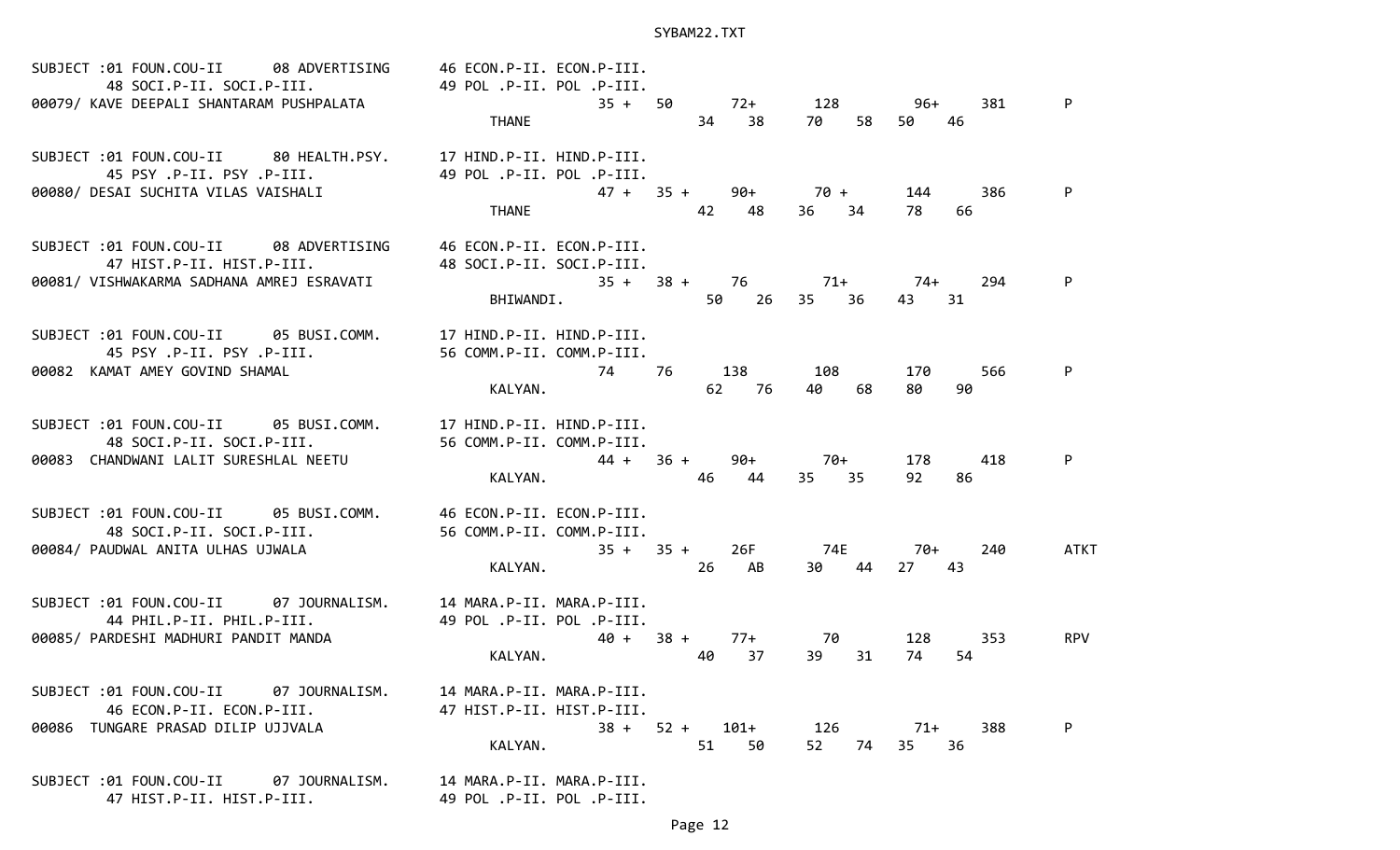| SUBJECT:01 FOUN.COU-II 08 ADVERTISING 46 ECON.P-II. ECON.P-III.<br>48 SOCI.P-II. SOCI.P-III. 49 POL.P-II. POL.P-III.<br>00079/ KAVE DEEPALI SHANTARAM PUSHPALATA                       | THANE                                                               | $35 + 50$ $72 + 128$<br>34 38 70      | 58                 | 96+<br>381<br>50 —<br>46  | P          |
|----------------------------------------------------------------------------------------------------------------------------------------------------------------------------------------|---------------------------------------------------------------------|---------------------------------------|--------------------|---------------------------|------------|
| SUBJECT :01 FOUN.COU-II 80 HEALTH.PSY. 17 HIND.P-II. HIND.P-III.<br>.45 PSY .P-II. PSY .P-III.                        49 POL .P-II. POL .P-III.<br>00080/ DESAI SUCHITA VILAS VAISHALI | <b>THANE</b>                                                        | $47 + 35 + 90 + 70 + 144$<br>42<br>48 | 36 34              | 386<br>78 —<br>66         |            |
| SUBJECT :01 FOUN.COU-II 08 ADVERTISING<br>47 HIST.P-II. HIST.P-III.<br>00081/ VISHWAKARMA SADHANA AMREJ ESRAVATI                                                                       | 46 ECON.P-II. ECON.P-III.<br>48 SOCI.P-II. SOCI.P-III.<br>BHIWANDI. | $35 + 38 + 76$ 71+ 74+                | 50 26 35 36        | 294<br>43 31              | P          |
| SUBJECT :01 FOUN.COU-II 05 BUSI.COMM. 17 HIND.P-II. HIND.P-III.<br>45 PSY .P-II. PSY .P-III.<br>00082 KAMAT AMEY GOVIND SHAMAL                                                         | 56 COMM.P-II. COMM.P-III.<br>KALYAN.                                | 74 76 138 108<br>62 76                | 40 68              | 170<br>566<br>80<br>90    | P          |
| SUBJECT :01 FOUN.COU-II 05 BUSI.COMM. 17 HIND.P-II. HIND.P-III.<br>00083 CHANDWANI LALIT SURESHLAL NEETU                                                                               | KALYAN.                                                             | $44 + 36 + 90 + 70 +$<br>46<br>44     | 35 35              | 178 —<br>418<br>92<br>86  | P          |
| SUBJECT :01 FOUN.COU-II 05 BUSI.COMM. 46 ECON.P-II. ECON.P-III.<br>48 SOCI.P-II. SOCI.P-III.<br>00084/ PAUDWAL ANITA ULHAS UJWALA                                                      | 56 COMM.P-II. COMM.P-III.<br>KALYAN. 26 AB                          | 35 + 35 + 26F 74E                     | 30 44              | 70+<br>240<br>27 43       | ATKT       |
| SUBJECT :01 FOUN.COU-II 07 JOURNALISM. 14 MARA.P-II. MARA.P-III.<br>44 PHIL.P-II. PHIL.P-III. 49 POL.P-II. POL.P-III.<br>00085/ PARDESHI MADHURI PANDIT MANDA                          | KALYAN.                                                             | $40 + 38 +$<br>37<br>40               | 77+ 70<br>39<br>31 | 128 —<br>-353<br>74<br>54 | <b>RPV</b> |
| SUBJECT :01 FOUN.COU-II 07 JOURNALISM.<br>46 ECON.P-II. ECON.P-III.<br>00086 TUNGARE PRASAD DILIP UJJVALA                                                                              | 14 MARA.P-II. MARA.P-III.<br>47 HIST.P-II. HIST.P-III.<br>KALYAN.   | $38 + 52 + 101 + 126$<br>51<br>50     | 52 74              | 388<br>71+<br>35<br>36    | P          |
| SUBJECT :01 FOUN.COU-II<br>07 JOURNALISM.                                                                                                                                              | 14 MARA.P-II. MARA.P-III.                                           |                                       |                    |                           |            |

47 HIST.P-II. HIST.P-III. 49 POL .P-II. POL .P-III.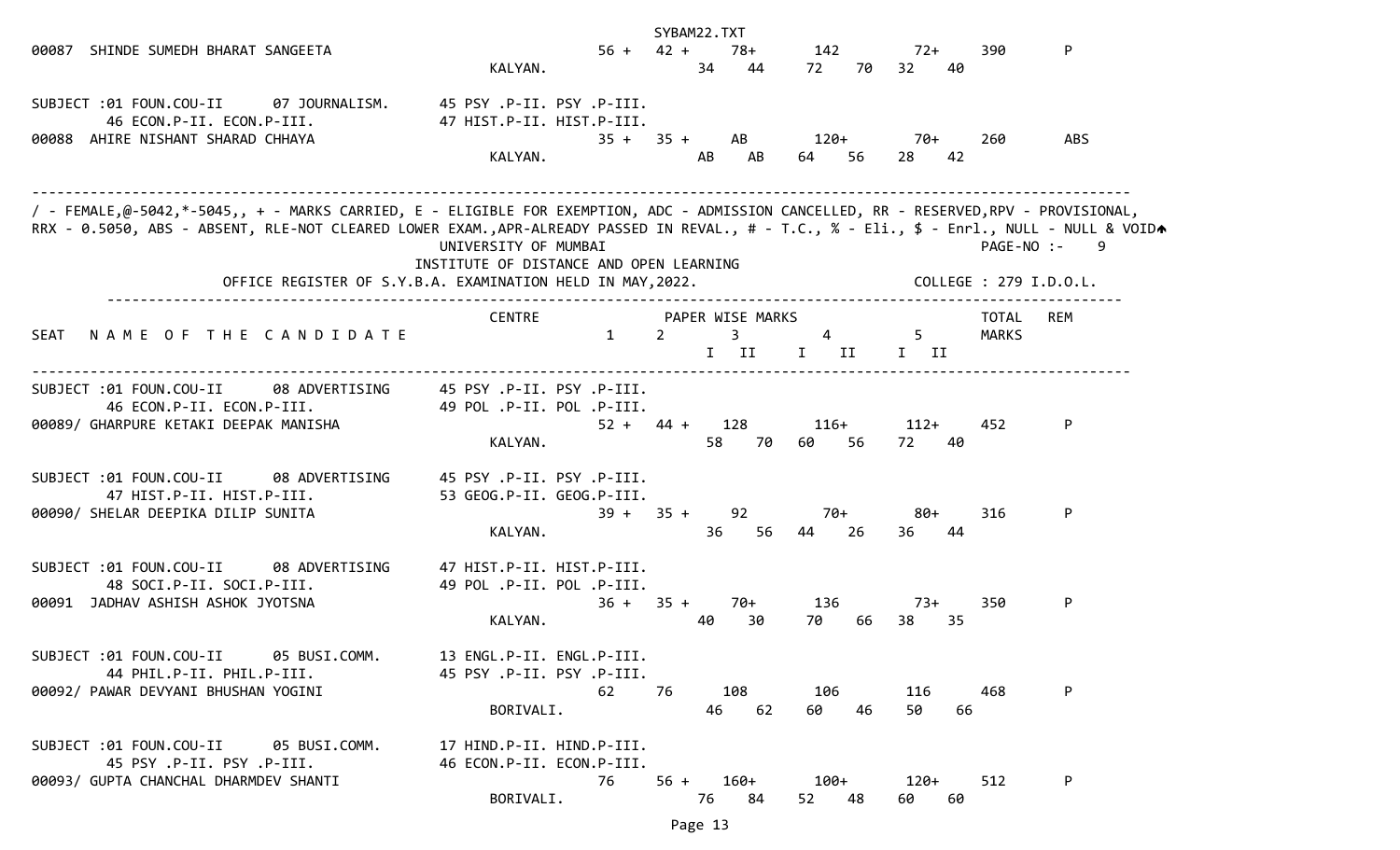|                                                                                                                                                                                                                                                                                    |                                                                             | SYBAM22.TXT                                                |                               |                                |                        |  |
|------------------------------------------------------------------------------------------------------------------------------------------------------------------------------------------------------------------------------------------------------------------------------------|-----------------------------------------------------------------------------|------------------------------------------------------------|-------------------------------|--------------------------------|------------------------|--|
| 00087 SHINDE SUMEDH BHARAT SANGEETA                                                                                                                                                                                                                                                | KALYAN.                                                                     | $56 + 42 +$<br>34                                          | 78+<br>142<br>44<br>72<br>70  | $72+$<br>32 <sub>2</sub><br>40 | P<br>390               |  |
| SUBJECT :01 FOUN.COU-II 07 JOURNALISM.<br>46 ECON.P-II. ECON.P-III.<br>00088 AHIRE NISHANT SHARAD CHHAYA                                                                                                                                                                           | 45 PSY .P-II. PSY .P-III.<br>47 HIST.P-II. HIST.P-III.<br>$35 +$<br>KALYAN. | $35 +$<br>AB                                               | AB<br>120+<br>AB<br>64<br>-56 | 70+<br>42<br>28                | 260<br>ABS             |  |
| / - FEMALE,@-5042,*-5045,, + - MARKS CARRIED, E - ELIGIBLE FOR EXEMPTION, ADC - ADMISSION CANCELLED, RR - RESERVED,RPV - PROVISIONAL,<br>RRX - 0.5050, ABS - ABSENT, RLE-NOT CLEARED LOWER EXAM.,APR-ALREADY PASSED IN REVAL., # - T.C., % - Eli., \$ - Enrl., NULL - NULL & VOIDA | UNIVERSITY OF MUMBAI<br>INSTITUTE OF DISTANCE AND OPEN LEARNING             |                                                            |                               |                                | PAGE-NO :-<br>-9       |  |
|                                                                                                                                                                                                                                                                                    | OFFICE REGISTER OF S.Y.B.A. EXAMINATION HELD IN MAY, 2022.                  |                                                            |                               |                                | COLLEGE : 279 I.D.O.L. |  |
| NAME OF THE CANDIDATE<br>SEAT                                                                                                                                                                                                                                                      | <b>CENTRE</b><br>1                                                          | PAPER WISE MARKS<br>$\mathbf{3}$<br>$\overline{2}$<br>I II | $\overline{4}$<br>$I$ II      | $5 -$<br>$I$ II                | REM<br>TOTAL<br>MARKS  |  |
| 08 ADVERTISING<br>SUBJECT :01 FOUN.COU-II<br>46 ECON.P-II. ECON.P-III.<br>00089/ GHARPURE KETAKI DEEPAK MANISHA                                                                                                                                                                    | 45 PSY .P-II. PSY .P-III.<br>49 POL .P-II. POL .P-III.<br>KALYAN.           | $52 + 44 +$<br>128<br>58                                   | $116+$<br>70<br>56<br>60      | $112+$<br>72<br>40             | 452<br>P               |  |
| SUBJECT :01 FOUN.COU-II<br>08 ADVERTISING<br>47 HIST.P-II. HIST.P-III.<br>00090/ SHELAR DEEPIKA DILIP SUNITA                                                                                                                                                                       | 45 PSY .P-II. PSY .P-III.<br>53 GEOG.P-II. GEOG.P-III.<br>KALYAN.           | 92<br>$39 + 35 +$<br>36                                    | 70+<br>56<br>44<br>26         | 80+<br>44<br>36                | 316<br>P               |  |
| SUBJECT :01 FOUN.COU-II<br>08 ADVERTISING<br>48 SOCI.P-II. SOCI.P-III.<br>00091 JADHAV ASHISH ASHOK JYOTSNA                                                                                                                                                                        | 47 HIST.P-II. HIST.P-III.<br>49 POL .P-II. POL .P-III.<br>$36 +$<br>KALYAN. | $35 +$<br>40                                               | 136<br>70+<br>30<br>70<br>66  | 73+<br>38<br>35                | 350<br>P               |  |
| SUBJECT :01 FOUN.COU-II<br>05 BUSI.COMM.<br>44 PHIL.P-II. PHIL.P-III.<br>00092/ PAWAR DEVYANI BHUSHAN YOGINI                                                                                                                                                                       | 13 ENGL.P-II. ENGL.P-III.<br>45 PSY .P-II. PSY .P-III.<br>62<br>BORIVALI.   | 108<br>76<br>46                                            | 106<br>62<br>46<br>60         | 116<br>50<br>66                | P<br>468               |  |
| 05 BUSI.COMM.<br>SUBJECT :01 FOUN.COU-II<br>45 PSY .P-II. PSY .P-III.<br>00093/ GUPTA CHANCHAL DHARMDEV SHANTI                                                                                                                                                                     | 17 HIND.P-II. HIND.P-III.<br>46 ECON.P-II. ECON.P-III.<br>76<br>BORIVALI.   | $56 +$<br>160+<br>76                                       | 100+<br>84<br>52<br>48        | 120+<br>60 —<br>60             | 512<br>P               |  |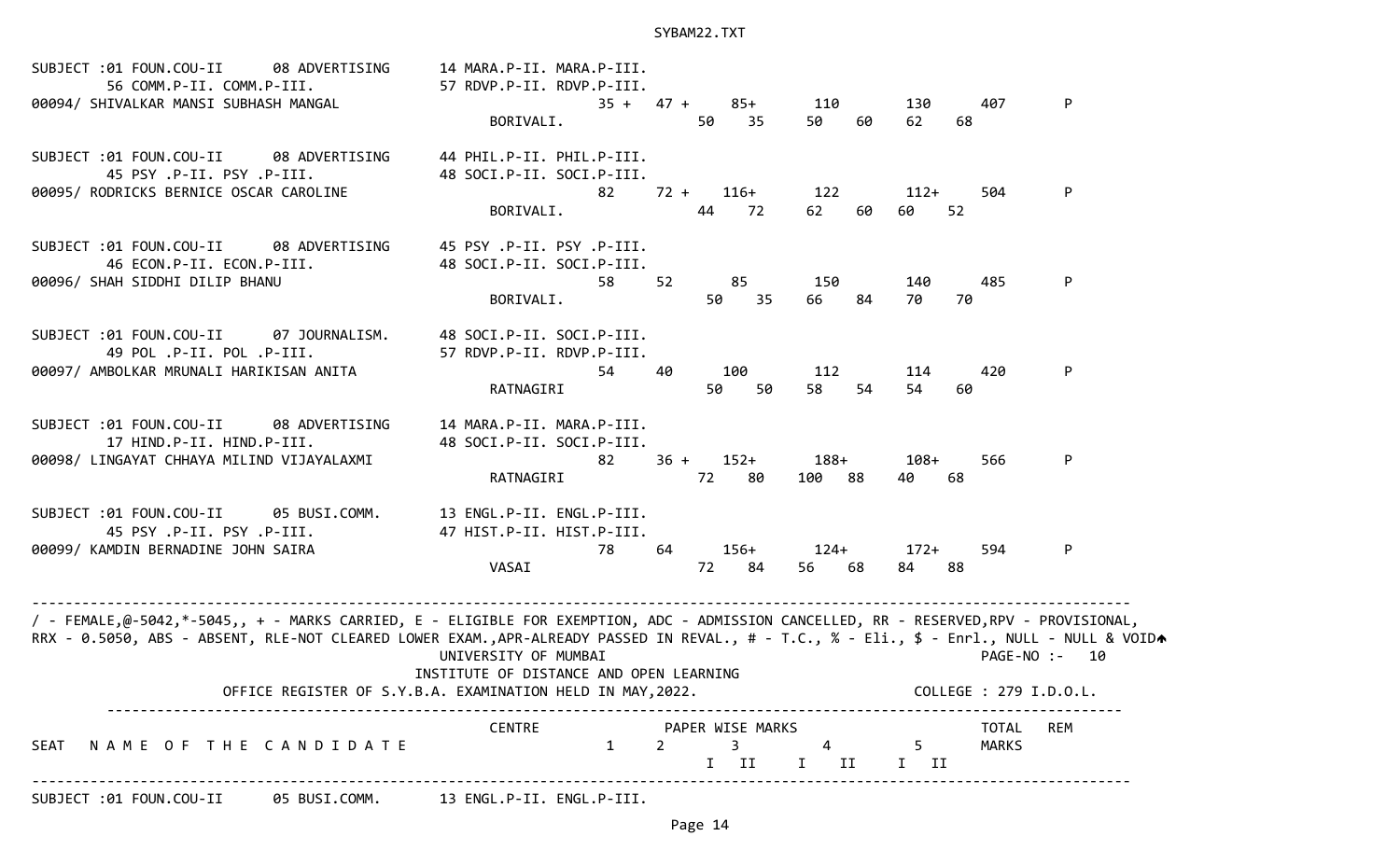| SUBJECT :01 FOUN.COU-II<br>08 ADVERTISING<br>56 COMM.P-II. COMM.P-III.<br>00094/ SHIVALKAR MANSI SUBHASH MANGAL                                                                                                                                                                    | 14 MARA.P-II. MARA.P-III.<br>57 RDVP.P-II. RDVP.P-III.<br>BORIVALI.       | $35 + 47 +$<br>85+<br>50<br>35                                                      | 110<br>50<br>60          | 130<br>407<br>62<br>68                 | P             |
|------------------------------------------------------------------------------------------------------------------------------------------------------------------------------------------------------------------------------------------------------------------------------------|---------------------------------------------------------------------------|-------------------------------------------------------------------------------------|--------------------------|----------------------------------------|---------------|
| SUBJECT :01 FOUN.COU-II<br>08 ADVERTISING<br>45 PSY .P-II. PSY .P-III.<br>00095/ RODRICKS BERNICE OSCAR CAROLINE                                                                                                                                                                   | 44 PHIL.P-II. PHIL.P-III.<br>48 SOCI.P-II. SOCI.P-III.<br>82<br>BORIVALI. | $72 +$<br>$116+$<br>44<br>72                                                        | 122<br>60<br>62          | $112+$<br>504<br>60<br>52              | P             |
| SUBJECT :01 FOUN.COU-II<br>08 ADVERTISING<br>46 ECON.P-II. ECON.P-III.<br>00096/ SHAH SIDDHI DILIP BHANU                                                                                                                                                                           | 45 PSY .P-II. PSY .P-III.<br>48 SOCI.P-II. SOCI.P-III.<br>58<br>BORIVALI. | 52<br>85<br>50<br>35                                                                | 150<br>66<br>84          | 485<br>140<br>70<br>70                 | P             |
| SUBJECT :01 FOUN.COU-II<br>07 JOURNALISM.<br>49 POL .P-II. POL .P-III.<br>00097/ AMBOLKAR MRUNALI HARIKISAN ANITA                                                                                                                                                                  | 48 SOCI.P-II. SOCI.P-III.<br>57 RDVP.P-II. RDVP.P-III.<br>54<br>RATNAGIRI | 100<br>40<br>50<br>50                                                               | 112<br>58<br>54          | 114<br>420<br>54<br>60                 | P             |
| SUBJECT :01 FOUN.COU-II<br>08 ADVERTISING<br>17 HIND.P-II. HIND.P-III.<br>00098/ LINGAYAT CHHAYA MILIND VIJAYALAXMI                                                                                                                                                                | 14 MARA.P-II. MARA.P-III.<br>48 SOCI.P-II. SOCI.P-III.<br>82<br>RATNAGIRI | $36 +$<br>$152+$<br>72<br>-80                                                       | $188+$<br>100 88         | $108+$<br>566<br>40<br>68              | P             |
| SUBJECT :01 FOUN.COU-II<br>05 BUSI.COMM.<br>45 PSY .P-II. PSY .P-III.<br>00099/ KAMDIN BERNADINE JOHN SAIRA                                                                                                                                                                        | 13 ENGL.P-II. ENGL.P-III.<br>47 HIST.P-II. HIST.P-III.<br>78<br>VASAI     | 64<br>$156+$<br>72<br>84                                                            | $124+$<br>56 68          | $172+$<br>594<br>84<br>88              | P             |
| / - FEMALE,@-5042,*-5045,, + - MARKS CARRIED, E - ELIGIBLE FOR EXEMPTION, ADC - ADMISSION CANCELLED, RR - RESERVED,RPV - PROVISIONAL,<br>RRX - 0.5050, ABS - ABSENT, RLE-NOT CLEARED LOWER EXAM.,APR-ALREADY PASSED IN REVAL., # - T.C., % - Eli., \$ - Enrl., NULL - NULL & VOIDA | UNIVERSITY OF MUMBAI<br>INSTITUTE OF DISTANCE AND OPEN LEARNING           |                                                                                     |                          |                                        | PAGE-NO :- 10 |
|                                                                                                                                                                                                                                                                                    | OFFICE REGISTER OF S.Y.B.A. EXAMINATION HELD IN MAY, 2022.                |                                                                                     |                          | COLLEGE : 279 I.D.O.L.                 |               |
| NAME OF THE CANDIDATE<br>SEAT                                                                                                                                                                                                                                                      | <b>CENTRE</b><br>1                                                        | PAPER WISE MARKS<br>$\mathbf{3}$<br>$\overline{2}$<br>$\mathbf{I}$<br>$\mathbf{II}$ | $\overline{4}$<br>$I$ II | TOTAL<br>$5 -$<br><b>MARKS</b><br>I II | <b>REM</b>    |
| SUBJECT :01 FOUN.COU-II 05 BUSI.COMM. 13 ENGL.P-II. ENGL.P-III.                                                                                                                                                                                                                    |                                                                           |                                                                                     |                          |                                        |               |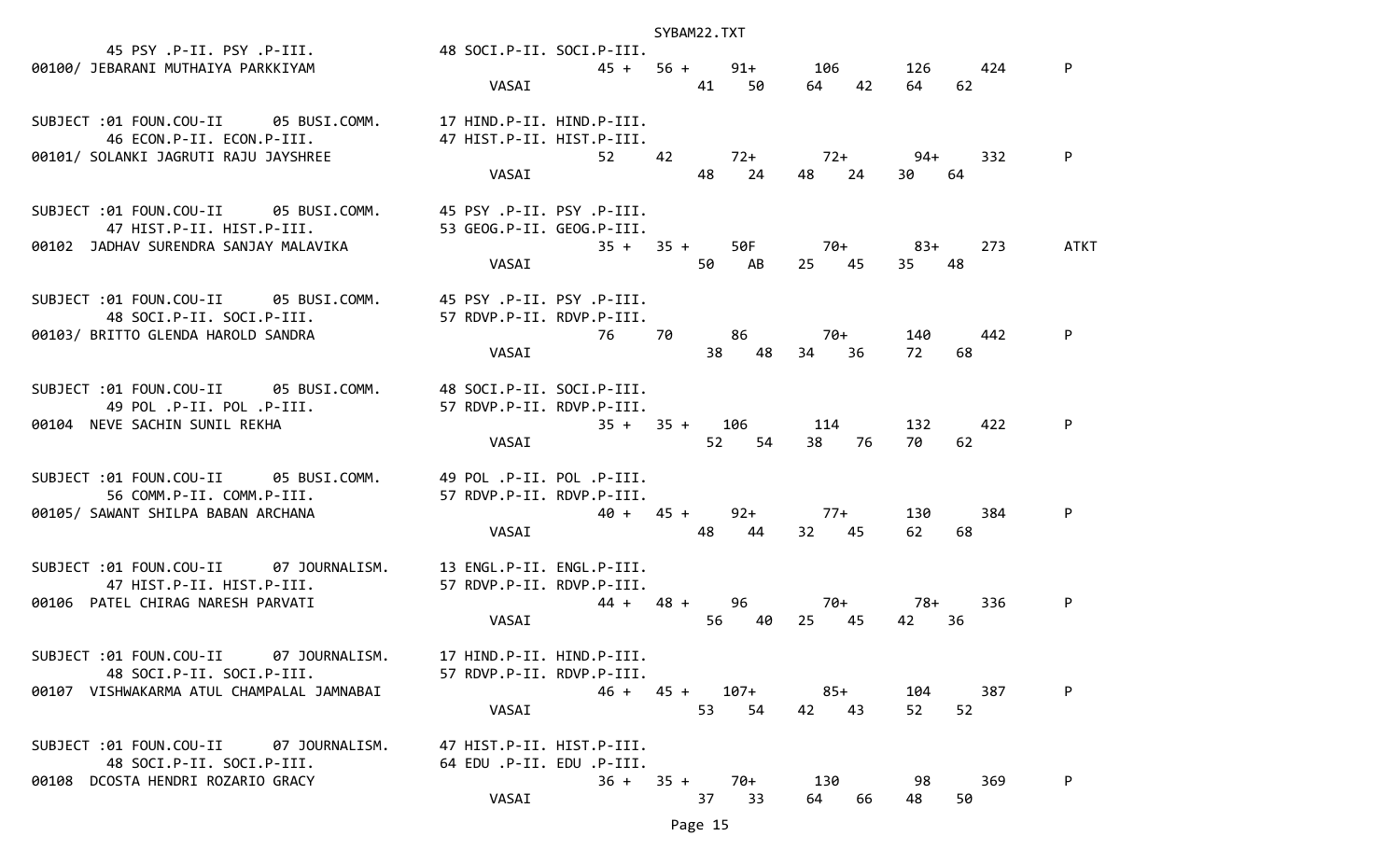|                                                                                                                                      |                                                                                | SYBAM22.TXT                     |                      |                                           |      |
|--------------------------------------------------------------------------------------------------------------------------------------|--------------------------------------------------------------------------------|---------------------------------|----------------------|-------------------------------------------|------|
| 45 PSY .P-II. PSY .P-III.                         48 SOCI.P-II. SOCI.P-III.<br>00100/ JEBARANI MUTHAIYA PARKKIYAM                    | VASAI                                                                          | 41 50                           | 64 42                | 45 + 56 + 91 + 106 126 424<br>64 —<br>-62 | P    |
| SUBJECT :01 FOUN.COU-II 05 BUSI.COMM. 17 HIND.P-II. HIND.P-III.<br>46 ECON.P-II. ECON.P-III.<br>00101/ SOLANKI JAGRUTI RAJU JAYSHREE | 47 HIST.P-II. HIST.P-III.<br>52 42<br>VASAI                                    | 72+<br>24<br>48                 | 72+<br>48<br>-24     | 94+<br>332<br>30<br>64                    |      |
| SUBJECT :01 FOUN.COU-II 05 BUSI.COMM.<br>47 HIST.P-II. HIST.P-III.<br>00102 JADHAV SURENDRA SANJAY MALAVIKA                          | 45 PSY .P-II. PSY .P-III.<br>53 GEOG.P-II. GEOG.P-III.<br>VASAI                | $35 + 35 +$<br>50 AB            | 50F 70+ 83+<br>25 45 | 273<br>35<br>48                           | ATKT |
| SUBJECT :01 FOUN.COU-II 05 BUSI.COMM.<br>48 SOCI.P-II. SOCI.P-III.<br>00103/ BRITTO GLENDA HAROLD SANDRA                             | 45 PSY .P-II. PSY .P-III.<br>57 RDVP.P-II. RDVP.P-III.<br>76 —<br>VASAI        | 86<br>70.<br>48<br>38           | $70+$<br>34 36       | 140 —<br>442<br>72<br>68                  | P    |
| SUBJECT :01 FOUN.COU-II 05 BUSI.COMM.<br>49 POL .P-II. POL .P-III.<br>00104 NEVE SACHIN SUNIL REKHA                                  | 48 SOCI.P-II. SOCI.P-III.<br>57 RDVP.P-II. RDVP.P-III.<br>VASAI                | $35 + 35 + 106$ 114<br>52<br>54 | 38 76                | 132<br>422<br>70.<br>62                   |      |
| SUBJECT :01 FOUN.COU-II 05 BUSI.COMM.<br>56 COMM.P-II. COMM.P-III.<br>00105/ SAWANT SHILPA BABAN ARCHANA                             | 49 POL .P-II. POL .P-III.<br>57 RDVP.P-II. RDVP.P-III.<br>$40 + 45 +$<br>VASAI | 48<br>44                        | $92+ 77+$<br>32 45   | 130 -<br>384<br>62<br>68                  | P    |
| SUBJECT :01 FOUN.COU-II 07 JOURNALISM.<br>47 HIST.P-II. HIST.P-III.<br>00106 PATEL CHIRAG NARESH PARVATI                             | 13 ENGL.P-II. ENGL.P-III.<br>57 RDVP.P-II. RDVP.P-III.<br>VASAI                | $44 + 48 +$<br>96<br>56<br>40   | 70+<br>25 45         | 78+<br>336<br>42<br>36                    | P    |
| SUBJECT : 01 FOUN.COU-II 07 JOURNALISM.<br>48 SOCI.P-II. SOCI.P-III.<br>00107 VISHWAKARMA ATUL CHAMPALAL JAMNABAI                    | 17 HIND.P-II. HIND.P-III.<br>57 RDVP.P-II. RDVP.P-III.<br>VASAI                | 107+<br>$46 + 45 +$<br>53<br>54 | $85+$<br>42 43       | 104<br>387<br>52<br>52                    | P    |
| SUBJECT : 01 FOUN.COU-II 07 JOURNALISM.<br>48 SOCI.P-II. SOCI.P-III.<br>00108 DCOSTA HENDRI ROZARIO GRACY                            | 47 HIST.P-II. HIST.P-III.<br>64 EDU .P-II. EDU .P-III.<br>$36 + 35 +$<br>VASAI | 70+<br>37<br>33                 | 130<br>64<br>66      | 98<br>369<br>48<br>50                     | P    |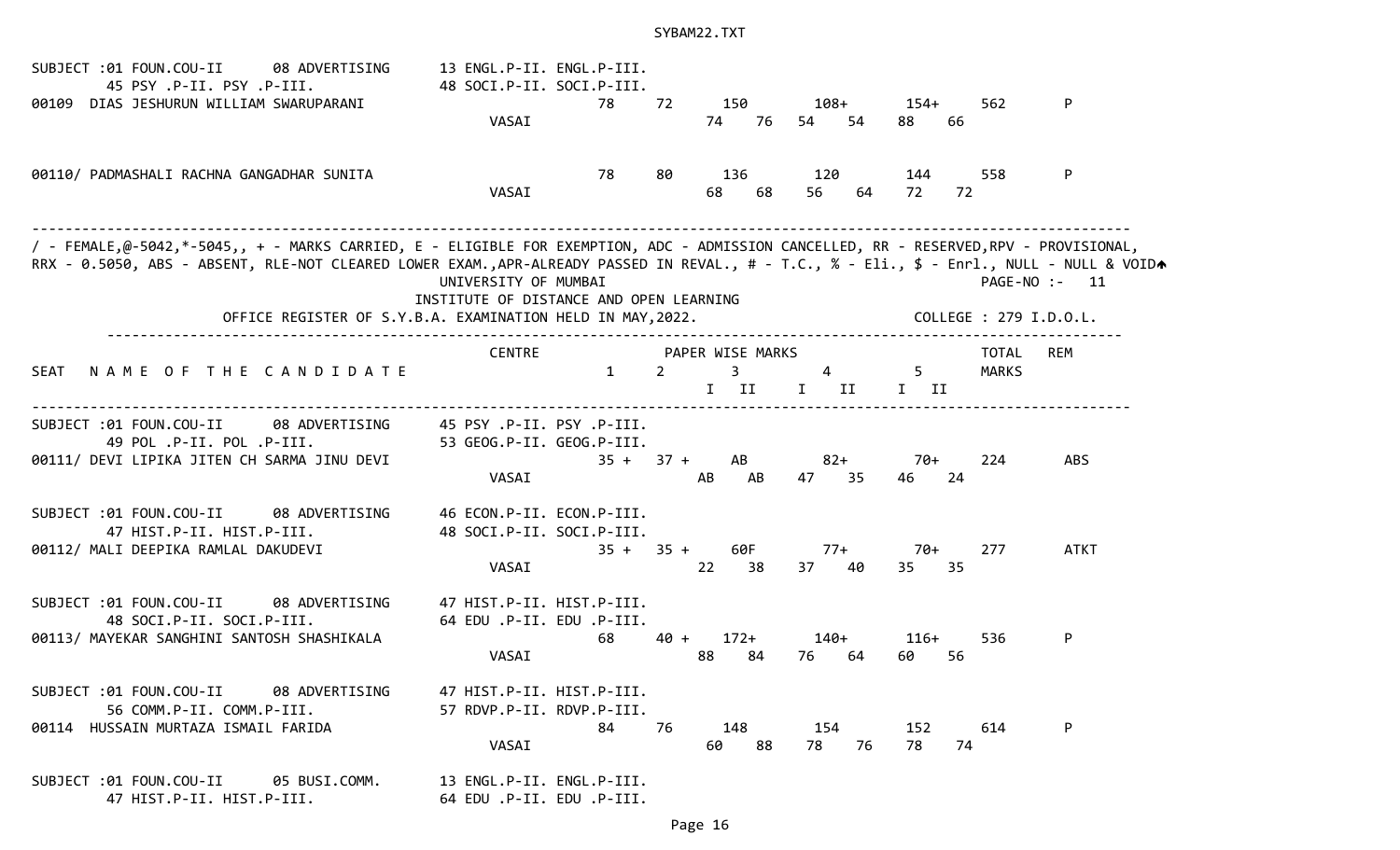| SUBJECT :01 FOUN.COU-II<br>08 ADVERTISING<br>45 PSY .P-II. PSY .P-III.                                                                                                                                                                                                             | 13 ENGL.P-II. ENGL.P-III.<br>48 SOCI.P-II. SOCI.P-III.          |              |                |                               |                    |                       |                        |               |
|------------------------------------------------------------------------------------------------------------------------------------------------------------------------------------------------------------------------------------------------------------------------------------|-----------------------------------------------------------------|--------------|----------------|-------------------------------|--------------------|-----------------------|------------------------|---------------|
| 00109 DIAS JESHURUN WILLIAM SWARUPARANI                                                                                                                                                                                                                                            |                                                                 | 78           | 72             | 150                           | 108+               | $154+$                | 562                    | P             |
|                                                                                                                                                                                                                                                                                    | VASAI                                                           |              |                | 76<br>74                      | 54<br>54           | 66<br>88              |                        |               |
| 00110/ PADMASHALI RACHNA GANGADHAR SUNITA                                                                                                                                                                                                                                          |                                                                 | 78           | 80             | 136                           | 120                | 144                   | 558                    | P             |
|                                                                                                                                                                                                                                                                                    | VASAI                                                           |              |                | 68<br>68                      | 56<br>64           | 72<br>72              |                        |               |
| / - FEMALE,@-5042,*-5045,, + - MARKS CARRIED, E - ELIGIBLE FOR EXEMPTION, ADC - ADMISSION CANCELLED, RR - RESERVED,RPV - PROVISIONAL,<br>RRX - 0.5050, ABS - ABSENT, RLE-NOT CLEARED LOWER EXAM.,APR-ALREADY PASSED IN REVAL., # - T.C., % - Eli., \$ - Enrl., NULL - NULL & VOIDA | UNIVERSITY OF MUMBAI<br>INSTITUTE OF DISTANCE AND OPEN LEARNING |              |                |                               |                    |                       |                        | PAGE-NO :- 11 |
| OFFICE REGISTER OF S.Y.B.A. EXAMINATION HELD IN MAY, 2022.                                                                                                                                                                                                                         |                                                                 |              |                |                               |                    |                       | COLLEGE : 279 I.D.O.L. |               |
| NAME OF THE CANDIDATE<br>SEAT                                                                                                                                                                                                                                                      | <b>CENTRE</b>                                                   | $\mathbf{1}$ | $\overline{2}$ | PAPER WISE MARKS<br>3<br>I II | 4<br>I II          | $5^{\circ}$<br>$I$ II | TOTAL<br><b>MARKS</b>  | <b>REM</b>    |
| SUBJECT :01 FOUN.COU-II<br>08 ADVERTISING<br>49 POL .P-II. POL .P-III.<br>00111/ DEVI LIPIKA JITEN CH SARMA JINU DEVI                                                                                                                                                              | 45 PSY .P-II. PSY .P-III.<br>53 GEOG.P-II. GEOG.P-III.<br>VASAI | $35 +$       | $37 +$         | AB<br>AB<br>AB                | $82+$<br>47<br>35  | 70+<br>24<br>46       | 224                    | <b>ABS</b>    |
| SUBJECT :01 FOUN.COU-II<br>08 ADVERTISING<br>47 HIST.P-II. HIST.P-III.<br>00112/ MALI DEEPIKA RAMLAL DAKUDEVI                                                                                                                                                                      | 46 ECON.P-II. ECON.P-III.<br>48 SOCI.P-II. SOCI.P-III.<br>VASAI | $35 + 35 +$  |                | 60F<br>22<br>38               | 77+<br>37<br>40    | 70+<br>35<br>35       | 277                    | <b>ATKT</b>   |
| SUBJECT :01 FOUN.COU-II<br>08 ADVERTISING<br>48 SOCI.P-II. SOCI.P-III.<br>00113/ MAYEKAR SANGHINI SANTOSH SHASHIKALA                                                                                                                                                               | 47 HIST.P-II. HIST.P-III.<br>64 EDU .P-II. EDU .P-III.<br>VASAI | 68           | 40 +           | $172+$<br>88<br>84            | $140+$<br>76<br>64 | $116+$<br>60<br>56    | 536                    | P             |
| SUBJECT :01 FOUN.COU-II<br>08 ADVERTISING<br>56 COMM.P-II. COMM.P-III.<br>00114 HUSSAIN MURTAZA ISMAIL FARIDA                                                                                                                                                                      | 47 HIST.P-II. HIST.P-III.<br>57 RDVP.P-II. RDVP.P-III.<br>VASAI | 84           | 76             | 148<br>88<br>60               | 154<br>78<br>76    | 152<br>78<br>74       | 614                    | P             |
| SUBJECT :01 FOUN.COU-II<br>05 BUSI.COMM.<br>47 HIST.P-II. HIST.P-III.                                                                                                                                                                                                              | 13 ENGL.P-II. ENGL.P-III.<br>64 EDU .P-II. EDU .P-III.          |              |                |                               |                    |                       |                        |               |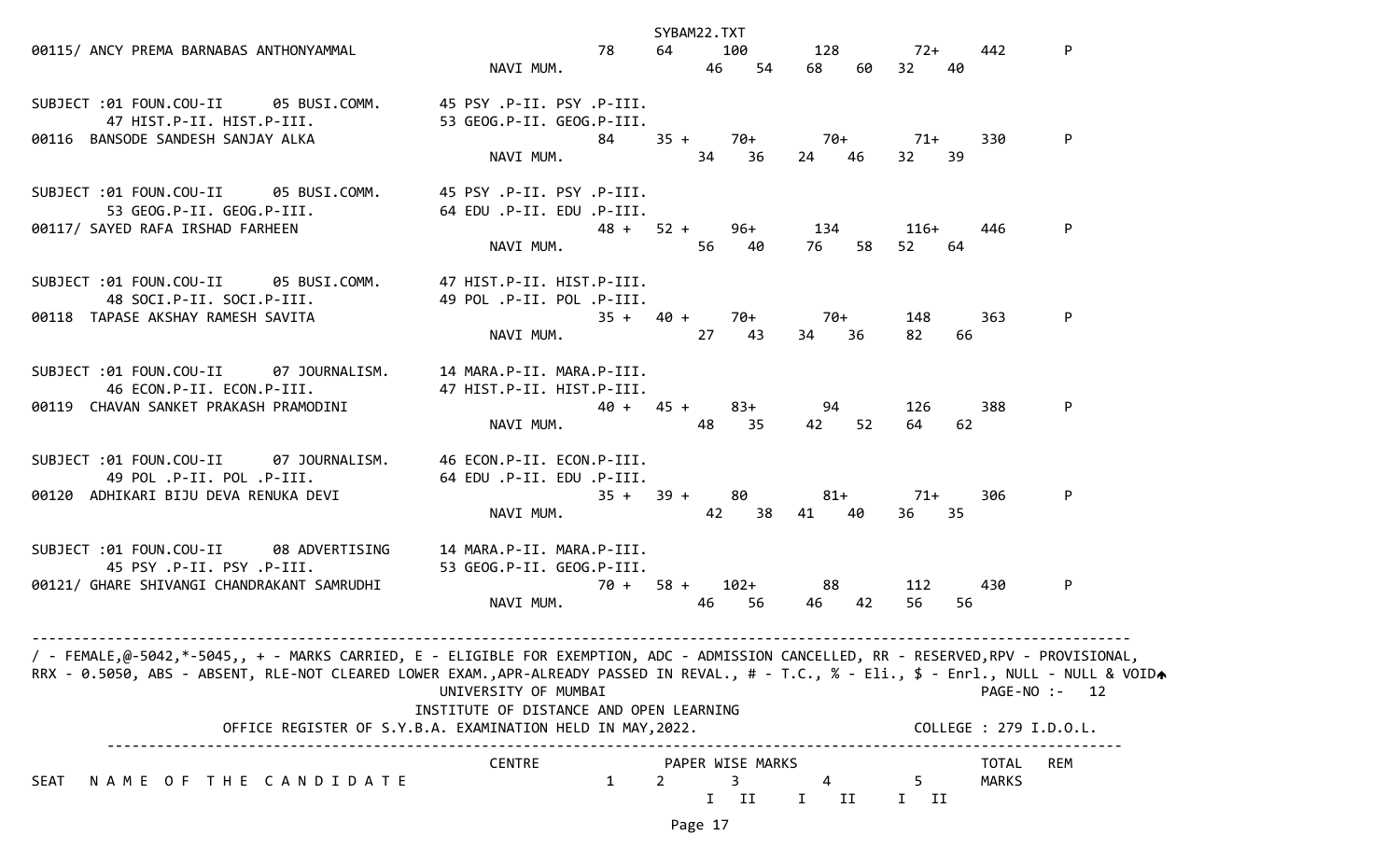|                                                                                                                                           |                                         |                       | SYBAM22.TXT |       |                  |              |       |                             |    |                              |            |
|-------------------------------------------------------------------------------------------------------------------------------------------|-----------------------------------------|-----------------------|-------------|-------|------------------|--------------|-------|-----------------------------|----|------------------------------|------------|
| 00115/ ANCY PREMA BARNABAS ANTHONYAMMAL                                                                                                   | 78 64 100 128 72+ 442                   |                       |             |       |                  |              |       |                             |    |                              | P          |
|                                                                                                                                           | NAVI MUM.                               |                       |             |       | 46 54            |              |       | 68 60 32 40                 |    |                              |            |
| SUBJECT :01 FOUN.COU-II 05 BUSI.COMM. 45 PSY .P-II. PSY .P-III.                                                                           |                                         |                       |             |       |                  |              |       |                             |    |                              |            |
|                                                                                                                                           |                                         |                       |             |       |                  |              |       |                             |    |                              |            |
| 00116 BANSODE SANDESH SANJAY ALKA                                                                                                         |                                         |                       |             |       |                  |              |       | 84 35 + 70 + 70 + 70 + 71 + |    | 330                          | P          |
|                                                                                                                                           | NAVI MUM. 34 36                         |                       |             |       |                  | 24 46        |       | 32 39                       |    |                              |            |
| SUBJECT :01 FOUN.COU-II 05 BUSI.COMM. 45 PSY .P-II. PSY .P-III.                                                                           |                                         |                       |             |       |                  |              |       |                             |    |                              |            |
|                                                                                                                                           |                                         |                       |             |       |                  |              |       |                             |    |                              |            |
| 00117/ SAYED RAFA IRSHAD FARHEEN                                                                                                          |                                         |                       |             |       |                  |              |       | 48 + 52 + 96 + 134 116 +    |    | 446                          | P          |
|                                                                                                                                           | NAVI MUM.                               |                       |             | 56 40 |                  |              |       | 76 58 52 64                 |    |                              |            |
| SUBJECT :01 FOUN.COU-II 05 BUSI.COMM. 47 HIST.P-II. HIST.P-III.                                                                           |                                         |                       |             |       |                  |              |       |                             |    |                              |            |
| 48 SOCI.P-II. SOCI.P-III.                         49 POL .P-II. POL .P-III.                                                               |                                         |                       |             |       |                  |              |       |                             |    |                              |            |
| 00118 TAPASE AKSHAY RAMESH SAVITA                                                                                                         |                                         | $35 + 40 + 70 + 70 +$ |             |       |                  |              |       | 148                         |    | 363                          | P          |
|                                                                                                                                           | NAVI MUM. 27 43                         |                       |             |       |                  | 34 36        |       | 82                          | 66 |                              |            |
| SUBJECT :01 FOUN.COU-II 07 JOURNALISM. 14 MARA.P-II. MARA.P-III.                                                                          |                                         |                       |             |       |                  |              |       |                             |    |                              |            |
| 46 ECON.P-II. ECON.P-III. 47 HIST.P-II. HIST.P-III.                                                                                       |                                         |                       |             |       |                  |              |       |                             |    |                              |            |
| 00119 CHAVAN SANKET PRAKASH PRAMODINI                                                                                                     |                                         | $40 + 45 + 83 + 94$   |             |       |                  |              |       | 126                         |    | 388                          | P          |
|                                                                                                                                           | NAVI MUM.                               |                       |             | 48    | 35               |              | 42 52 | 64                          | 62 |                              |            |
| SUBJECT :01 FOUN.COU-II 07 JOURNALISM. 46 ECON.P-II. ECON.P-III.                                                                          |                                         |                       |             |       |                  |              |       |                             |    |                              |            |
| 49 POL .P-II. POL .P-III.                                                                                                                 | 64 EDU .P-II. EDU .P-III.               |                       |             |       |                  |              |       |                             |    |                              |            |
| 00120 ADHIKARI BIJU DEVA RENUKA DEVI                                                                                                      |                                         | $35 + 39 + 80$        |             |       |                  | $81+$        |       | $71+$                       |    | 306                          | P          |
|                                                                                                                                           | NAVI MUM.                               |                       |             |       |                  | 42 38 41 40  |       | 36 35                       |    |                              |            |
| SUBJECT :01 FOUN.COU-II 08 ADVERTISING 14 MARA.P-II. MARA.P-III.                                                                          |                                         |                       |             |       |                  |              |       |                             |    |                              |            |
| 45 PSY .P-II. PSY .P-III. 33 GEOG.P-II. GEOG.P-III.                                                                                       |                                         |                       |             |       |                  |              |       |                             |    |                              |            |
| 00121/ GHARE SHIVANGI CHANDRAKANT SAMRUDHI                                                                                                | $70 + 58 + 102 + 88$                    |                       |             |       |                  |              |       | 112                         |    | 430                          | P          |
|                                                                                                                                           | NAVI MUM. 46 56                         |                       |             |       |                  |              | 46 42 | 56                          | 56 |                              |            |
| / - FEMALE,@-5042,*-5045,, + - MARKS CARRIED, E - ELIGIBLE FOR EXEMPTION, ADC - ADMISSION CANCELLED, RR - RESERVED,RPV - PROVISIONAL,     |                                         |                       |             |       |                  |              |       |                             |    |                              |            |
| RRX - 0.5050, ABS - ABSENT, RLE-NOT CLEARED LOWER EXAM.,APR-ALREADY PASSED IN REVAL., # - T.C., % - Eli., \$ - Enrl., NULL - NULL & VOIDA |                                         |                       |             |       |                  |              |       |                             |    |                              |            |
|                                                                                                                                           | UNIVERSITY OF MUMBAI                    |                       |             |       |                  |              |       |                             |    | PAGE-NO :- 12                |            |
| OFFICE REGISTER OF S.Y.B.A. EXAMINATION HELD IN MAY, 2022.                                                                                | INSTITUTE OF DISTANCE AND OPEN LEARNING |                       |             |       |                  |              |       |                             |    | COLLEGE : 279 I.D.O.L.       |            |
|                                                                                                                                           |                                         |                       |             |       |                  |              |       |                             |    |                              |            |
| NAME OF THE CANDIDATE<br>SEAT                                                                                                             | <b>CENTRE</b>                           | 1                     | 2           | 3     | PAPER WISE MARKS |              |       | 5                           |    | <b>TOTAL</b><br><b>MARKS</b> | <b>REM</b> |
|                                                                                                                                           |                                         |                       |             | I     | II               | $\mathbf{I}$ | ΙI    | I II                        |    |                              |            |
|                                                                                                                                           |                                         |                       |             |       |                  |              |       |                             |    |                              |            |

Page 17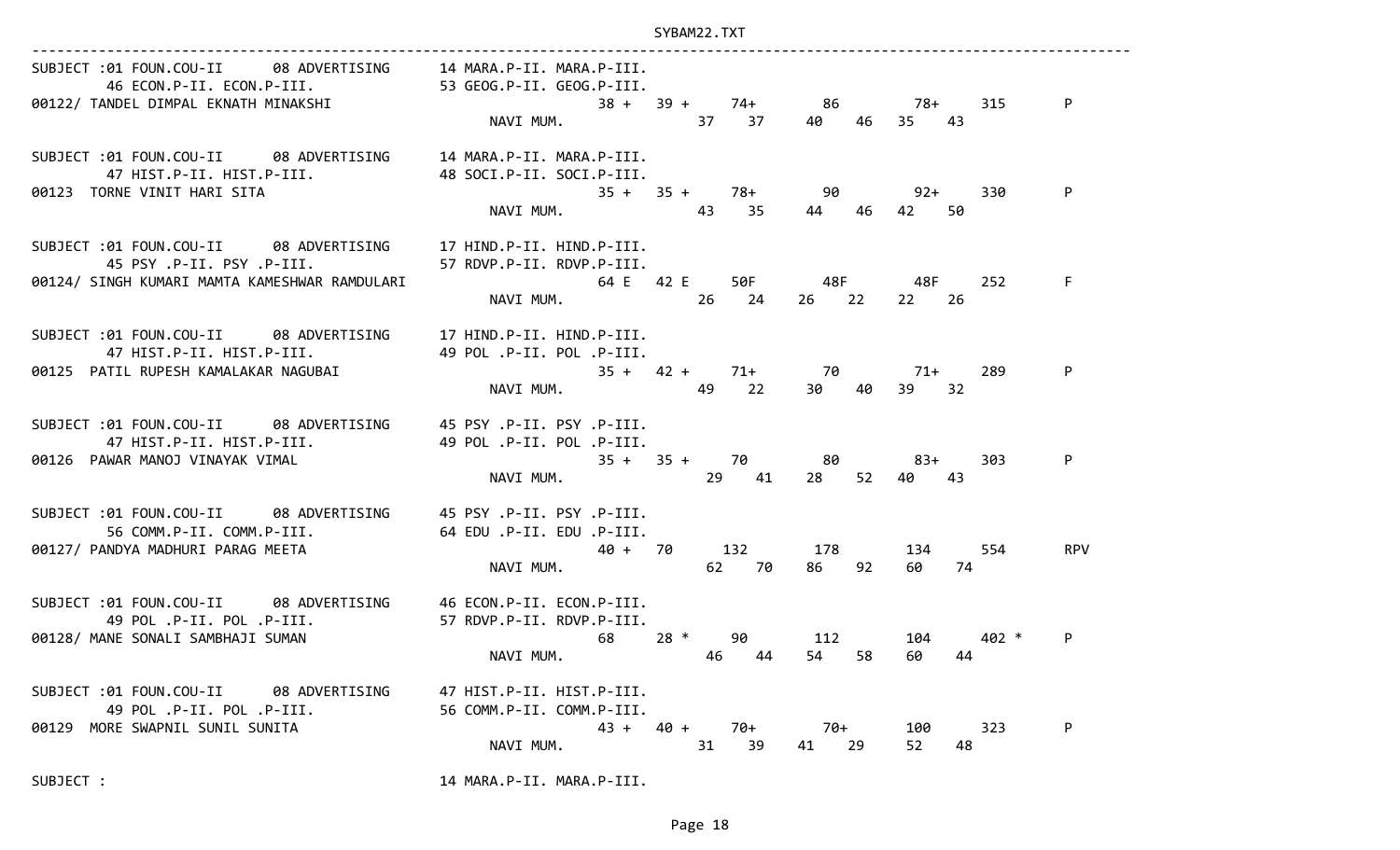| SUBJECT :01 FOUN.COU-II 08 ADVERTISING 14 MARA.P-II. MARA.P-III.<br>46 ECON.P-II. ECON.P-III. 53 GEOG.P-II. GEOG.P-III.                                    | NAVI MUM. 37 37                                                               |                                |                   |                       | P          |
|------------------------------------------------------------------------------------------------------------------------------------------------------------|-------------------------------------------------------------------------------|--------------------------------|-------------------|-----------------------|------------|
| SUBJECT :01 FOUN.COU-II 08 ADVERTISING 14 MARA.P-II. MARA.P-III.<br>47 HIST.P-II. HIST.P-III. 48 SOCI.P-II. SOCI.P-III.<br>00123 TORNE VINIT HARI SITA     | $35 + 35 + 78 + 90$ 92+<br>NAVI MUM.<br>NAVI MUM. 43 35 44 46 42 50           |                                |                   |                       | P<br>330   |
| SUBJECT :01 FOUN.COU-II 08 ADVERTISING 17 HIND.P-II. HIND.P-III.<br>00124/ SINGH KUMARI MAMTA KAMESHWAR RAMDULARI                                          | 64 E 42 E 50F 48F 48F<br>NAVI MUM. 26 24 26 22 22 26                          |                                |                   |                       | F.<br>252  |
| SUBJECT :01 FOUN.COU-II 08 ADVERTISING 17 HIND.P-II. HIND.P-III.<br>47 HIST.P-II. HIST.P-III.<br>00125 PATIL RUPESH KAMALAKAR NAGUBAI                      | 49 POL .P-II. POL .P-III.<br>$35 + 42 + 71 + 70$ 71+<br>NAVI MUM. 49 22 30 40 |                                |                   | 39 32                 | P<br>289   |
| SUBJECT :01 FOUN.COU-II 08 ADVERTISING 45 PSY .P-II. PSY .P-III.<br>49 POL .P-II. POL .P-III. 49 POL .P-II. POL .P-III.<br>00126 PAWAR MANOJ VINAYAK VIMAL | $35 + 35 + 70$ 80 83+<br>NAVT MIIM 35 + 35 + 70 11 20 52 10 12<br>NAVI MUM.   |                                | 29 41 28 52 40 43 |                       | P<br>303   |
| SUBJECT :01 FOUN.COU-II 08 ADVERTISING 45 PSY .P-II. PSY .P-III.<br>56 COMM.P-II. COMM.P-III.<br>00127/ PANDYA MADHURI PARAG MEETA                         | 64 EDU .P-II. EDU .P-III.<br>40 + 70 132 178 134 554<br>NAVI MUM.             |                                | 62 70 86 92       | 60 74                 | <b>RPV</b> |
| SUBJECT :01 FOUN.COU-II 08 ADVERTISING 46 ECON.P-II. ECON.P-III.<br>49 POL .P-II. POL .P-III.<br>00128/ MANE SONALI SAMBHAJI SUMAN                         | 57 RDVP.P-II. RDVP.P-III.<br>$68$ $28 *$ 90 $112$<br>NAVI MUM.                | 46 44                          | 54 58             | 104 402 *<br>60<br>44 | P          |
| SUBJECT :01 FOUN.COU-II 08 ADVERTISING<br>49 POL .P-II. POL .P-III.<br>00129 MORE SWAPNIL SUNIL SUNITA                                                     | 47 HIST.P-II. HIST.P-III.<br>56 COMM.P-II. COMM.P-III.<br>NAVI MUM.           | $43 + 40 +$<br>70+<br>31<br>39 | 70+<br>29<br>41   | 100<br>52<br>48       | P<br>323   |
| SUBJECT :                                                                                                                                                  | 14 MARA.P-II. MARA.P-III.                                                     |                                |                   |                       |            |